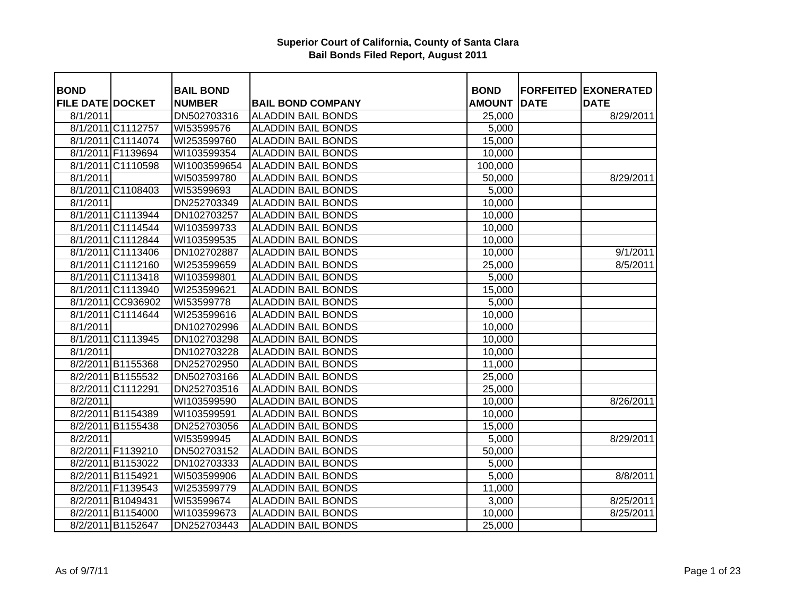| <b>BOND</b>             |                   | <b>BAIL BOND</b> |                           | <b>BOND</b>   |             | <b>FORFEITED EXONERATED</b> |
|-------------------------|-------------------|------------------|---------------------------|---------------|-------------|-----------------------------|
| <b>FILE DATE DOCKET</b> |                   | <b>NUMBER</b>    | <b>BAIL BOND COMPANY</b>  | <b>AMOUNT</b> | <b>DATE</b> | <b>DATE</b>                 |
| 8/1/2011                |                   | DN502703316      | <b>ALADDIN BAIL BONDS</b> | 25,000        |             | 8/29/2011                   |
|                         | 8/1/2011 C1112757 | WI53599576       | <b>ALADDIN BAIL BONDS</b> | 5,000         |             |                             |
|                         | 8/1/2011 C1114074 | WI253599760      | <b>ALADDIN BAIL BONDS</b> | 15,000        |             |                             |
|                         | 8/1/2011 F1139694 | WI103599354      | <b>ALADDIN BAIL BONDS</b> | 10,000        |             |                             |
|                         | 8/1/2011 C1110598 | WI1003599654     | <b>ALADDIN BAIL BONDS</b> | 100,000       |             |                             |
| 8/1/2011                |                   | WI503599780      | <b>ALADDIN BAIL BONDS</b> | 50,000        |             | 8/29/2011                   |
|                         | 8/1/2011 C1108403 | WI53599693       | <b>ALADDIN BAIL BONDS</b> | 5,000         |             |                             |
| 8/1/2011                |                   | DN252703349      | <b>ALADDIN BAIL BONDS</b> | 10,000        |             |                             |
|                         | 8/1/2011 C1113944 | DN102703257      | <b>ALADDIN BAIL BONDS</b> | 10,000        |             |                             |
|                         | 8/1/2011 C1114544 | WI103599733      | <b>ALADDIN BAIL BONDS</b> | 10,000        |             |                             |
|                         | 8/1/2011 C1112844 | WI103599535      | <b>ALADDIN BAIL BONDS</b> | 10,000        |             |                             |
|                         | 8/1/2011 C1113406 | DN102702887      | <b>ALADDIN BAIL BONDS</b> | 10,000        |             | 9/1/2011                    |
|                         | 8/1/2011 C1112160 | WI253599659      | <b>ALADDIN BAIL BONDS</b> | 25,000        |             | 8/5/2011                    |
|                         | 8/1/2011 C1113418 | WI103599801      | <b>ALADDIN BAIL BONDS</b> | 5,000         |             |                             |
|                         | 8/1/2011 C1113940 | WI253599621      | <b>ALADDIN BAIL BONDS</b> | 15,000        |             |                             |
|                         | 8/1/2011 CC936902 | WI53599778       | <b>ALADDIN BAIL BONDS</b> | 5,000         |             |                             |
|                         | 8/1/2011 C1114644 | WI253599616      | <b>ALADDIN BAIL BONDS</b> | 10,000        |             |                             |
| 8/1/2011                |                   | DN102702996      | <b>ALADDIN BAIL BONDS</b> | 10,000        |             |                             |
|                         | 8/1/2011 C1113945 | DN102703298      | <b>ALADDIN BAIL BONDS</b> | 10,000        |             |                             |
| 8/1/2011                |                   | DN102703228      | <b>ALADDIN BAIL BONDS</b> | 10,000        |             |                             |
|                         | 8/2/2011 B1155368 | DN252702950      | <b>ALADDIN BAIL BONDS</b> | 11,000        |             |                             |
|                         | 8/2/2011 B1155532 | DN502703166      | <b>ALADDIN BAIL BONDS</b> | 25,000        |             |                             |
|                         | 8/2/2011 C1112291 | DN252703516      | <b>ALADDIN BAIL BONDS</b> | 25,000        |             |                             |
| 8/2/2011                |                   | WI103599590      | <b>ALADDIN BAIL BONDS</b> | 10,000        |             | 8/26/2011                   |
|                         | 8/2/2011 B1154389 | WI103599591      | <b>ALADDIN BAIL BONDS</b> | 10,000        |             |                             |
|                         | 8/2/2011 B1155438 | DN252703056      | <b>ALADDIN BAIL BONDS</b> | 15,000        |             |                             |
| 8/2/2011                |                   | WI53599945       | <b>ALADDIN BAIL BONDS</b> | 5,000         |             | 8/29/2011                   |
|                         | 8/2/2011 F1139210 | DN502703152      | <b>ALADDIN BAIL BONDS</b> | 50,000        |             |                             |
|                         | 8/2/2011 B1153022 | DN102703333      | <b>ALADDIN BAIL BONDS</b> | 5,000         |             |                             |
|                         | 8/2/2011 B1154921 | WI503599906      | <b>ALADDIN BAIL BONDS</b> | 5,000         |             | 8/8/2011                    |
|                         | 8/2/2011 F1139543 | WI253599779      | <b>ALADDIN BAIL BONDS</b> | 11,000        |             |                             |
|                         | 8/2/2011 B1049431 | WI53599674       | <b>ALADDIN BAIL BONDS</b> | 3,000         |             | 8/25/2011                   |
|                         | 8/2/2011 B1154000 | WI103599673      | <b>ALADDIN BAIL BONDS</b> | 10,000        |             | 8/25/2011                   |
|                         | 8/2/2011 B1152647 | DN252703443      | <b>ALADDIN BAIL BONDS</b> | 25,000        |             |                             |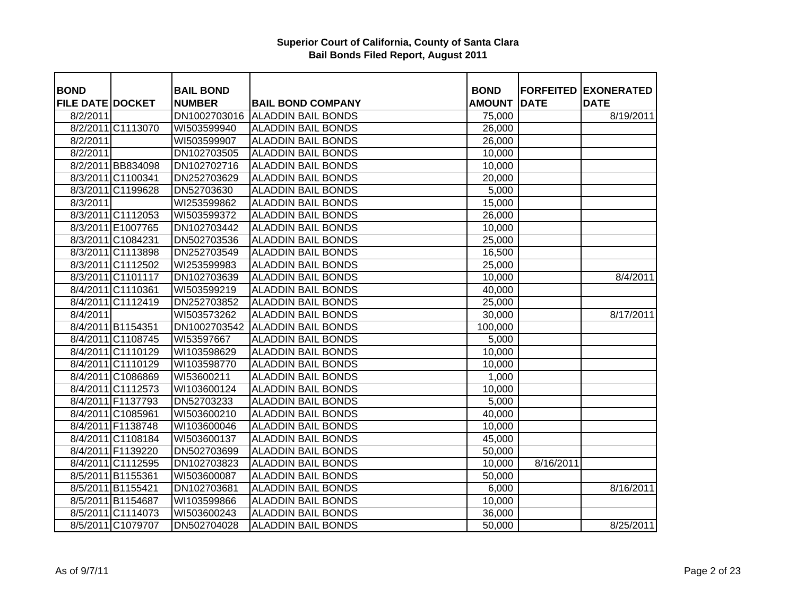| <b>BOND</b>             |                   | <b>BAIL BOND</b> |                                 | <b>BOND</b>   | <b>FORFEITED</b> | <b>EXONERATED</b> |
|-------------------------|-------------------|------------------|---------------------------------|---------------|------------------|-------------------|
| <b>FILE DATE DOCKET</b> |                   | <b>NUMBER</b>    | <b>BAIL BOND COMPANY</b>        | <b>AMOUNT</b> | <b>DATE</b>      | <b>DATE</b>       |
| 8/2/2011                |                   |                  | DN1002703016 ALADDIN BAIL BONDS | 75,000        |                  | 8/19/2011         |
|                         | 8/2/2011 C1113070 | WI503599940      | <b>ALADDIN BAIL BONDS</b>       | 26,000        |                  |                   |
| 8/2/2011                |                   | WI503599907      | <b>ALADDIN BAIL BONDS</b>       | 26,000        |                  |                   |
| 8/2/2011                |                   | DN102703505      | <b>ALADDIN BAIL BONDS</b>       | 10,000        |                  |                   |
|                         | 8/2/2011 BB834098 | DN102702716      | <b>ALADDIN BAIL BONDS</b>       | 10,000        |                  |                   |
|                         | 8/3/2011 C1100341 | DN252703629      | <b>ALADDIN BAIL BONDS</b>       | 20,000        |                  |                   |
|                         | 8/3/2011 C1199628 | DN52703630       | <b>ALADDIN BAIL BONDS</b>       | 5,000         |                  |                   |
| 8/3/2011                |                   | WI253599862      | <b>ALADDIN BAIL BONDS</b>       | 15,000        |                  |                   |
|                         | 8/3/2011 C1112053 | WI503599372      | <b>ALADDIN BAIL BONDS</b>       | 26,000        |                  |                   |
|                         | 8/3/2011 E1007765 | DN102703442      | <b>ALADDIN BAIL BONDS</b>       | 10,000        |                  |                   |
|                         | 8/3/2011 C1084231 | DN502703536      | <b>ALADDIN BAIL BONDS</b>       | 25,000        |                  |                   |
|                         | 8/3/2011 C1113898 | DN252703549      | <b>ALADDIN BAIL BONDS</b>       | 16,500        |                  |                   |
|                         | 8/3/2011 C1112502 | WI253599983      | <b>ALADDIN BAIL BONDS</b>       | 25,000        |                  |                   |
|                         | 8/3/2011 C1101117 | DN102703639      | <b>ALADDIN BAIL BONDS</b>       | 10,000        |                  | 8/4/2011          |
|                         | 8/4/2011 C1110361 | WI503599219      | <b>ALADDIN BAIL BONDS</b>       | 40,000        |                  |                   |
|                         | 8/4/2011 C1112419 | DN252703852      | <b>ALADDIN BAIL BONDS</b>       | 25,000        |                  |                   |
| 8/4/2011                |                   | WI503573262      | <b>ALADDIN BAIL BONDS</b>       | 30,000        |                  | 8/17/2011         |
|                         | 8/4/2011 B1154351 | DN1002703542     | <b>ALADDIN BAIL BONDS</b>       | 100,000       |                  |                   |
|                         | 8/4/2011 C1108745 | WI53597667       | <b>ALADDIN BAIL BONDS</b>       | 5,000         |                  |                   |
|                         | 8/4/2011 C1110129 | WI103598629      | <b>ALADDIN BAIL BONDS</b>       | 10,000        |                  |                   |
|                         | 8/4/2011 C1110129 | WI103598770      | <b>ALADDIN BAIL BONDS</b>       | 10,000        |                  |                   |
|                         | 8/4/2011 C1086869 | WI53600211       | <b>ALADDIN BAIL BONDS</b>       | 1,000         |                  |                   |
|                         | 8/4/2011 C1112573 | WI103600124      | <b>ALADDIN BAIL BONDS</b>       | 10,000        |                  |                   |
|                         | 8/4/2011 F1137793 | DN52703233       | <b>ALADDIN BAIL BONDS</b>       | 5,000         |                  |                   |
|                         | 8/4/2011 C1085961 | WI503600210      | <b>ALADDIN BAIL BONDS</b>       | 40,000        |                  |                   |
|                         | 8/4/2011 F1138748 | WI103600046      | <b>ALADDIN BAIL BONDS</b>       | 10,000        |                  |                   |
|                         | 8/4/2011 C1108184 | WI503600137      | <b>ALADDIN BAIL BONDS</b>       | 45,000        |                  |                   |
|                         | 8/4/2011 F1139220 | DN502703699      | <b>ALADDIN BAIL BONDS</b>       | 50,000        |                  |                   |
|                         | 8/4/2011 C1112595 | DN102703823      | <b>ALADDIN BAIL BONDS</b>       | 10,000        | 8/16/2011        |                   |
|                         | 8/5/2011 B1155361 | WI503600087      | <b>ALADDIN BAIL BONDS</b>       | 50,000        |                  |                   |
|                         | 8/5/2011 B1155421 | DN102703681      | <b>ALADDIN BAIL BONDS</b>       | 6,000         |                  | 8/16/2011         |
|                         | 8/5/2011 B1154687 | WI103599866      | <b>ALADDIN BAIL BONDS</b>       | 10,000        |                  |                   |
|                         | 8/5/2011 C1114073 | WI503600243      | <b>ALADDIN BAIL BONDS</b>       | 36,000        |                  |                   |
|                         | 8/5/2011 C1079707 | DN502704028      | <b>ALADDIN BAIL BONDS</b>       | 50,000        |                  | 8/25/2011         |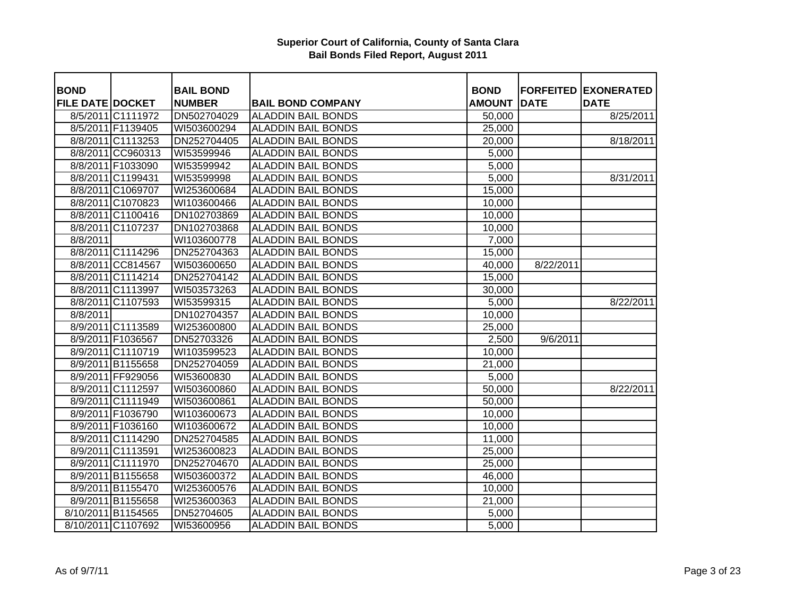| <b>BOND</b>             |                    | <b>BAIL BOND</b> |                           | <b>BOND</b>   |             | <b>FORFEITED EXONERATED</b> |
|-------------------------|--------------------|------------------|---------------------------|---------------|-------------|-----------------------------|
| <b>FILE DATE DOCKET</b> |                    | <b>NUMBER</b>    | <b>BAIL BOND COMPANY</b>  | <b>AMOUNT</b> | <b>DATE</b> | <b>DATE</b>                 |
|                         | 8/5/2011 C1111972  | DN502704029      | <b>ALADDIN BAIL BONDS</b> | 50,000        |             | 8/25/2011                   |
|                         | 8/5/2011 F1139405  | WI503600294      | <b>ALADDIN BAIL BONDS</b> | 25,000        |             |                             |
|                         | 8/8/2011 C1113253  | DN252704405      | <b>ALADDIN BAIL BONDS</b> | 20,000        |             | 8/18/2011                   |
|                         | 8/8/2011 CC960313  | WI53599946       | <b>ALADDIN BAIL BONDS</b> | 5,000         |             |                             |
|                         | 8/8/2011 F1033090  | WI53599942       | <b>ALADDIN BAIL BONDS</b> | 5,000         |             |                             |
|                         | 8/8/2011 C1199431  | WI53599998       | <b>ALADDIN BAIL BONDS</b> | 5,000         |             | 8/31/2011                   |
|                         | 8/8/2011 C1069707  | WI253600684      | <b>ALADDIN BAIL BONDS</b> | 15,000        |             |                             |
|                         | 8/8/2011 C1070823  | WI103600466      | <b>ALADDIN BAIL BONDS</b> | 10,000        |             |                             |
|                         | 8/8/2011 C1100416  | DN102703869      | <b>ALADDIN BAIL BONDS</b> | 10,000        |             |                             |
|                         | 8/8/2011 C1107237  | DN102703868      | <b>ALADDIN BAIL BONDS</b> | 10,000        |             |                             |
| 8/8/2011                |                    | WI103600778      | <b>ALADDIN BAIL BONDS</b> | 7,000         |             |                             |
|                         | 8/8/2011 C1114296  | DN252704363      | <b>ALADDIN BAIL BONDS</b> | 15,000        |             |                             |
|                         | 8/8/2011 CC814567  | WI503600650      | <b>ALADDIN BAIL BONDS</b> | 40,000        | 8/22/2011   |                             |
|                         | 8/8/2011 C1114214  | DN252704142      | <b>ALADDIN BAIL BONDS</b> | 15,000        |             |                             |
|                         | 8/8/2011 C1113997  | WI503573263      | <b>ALADDIN BAIL BONDS</b> | 30,000        |             |                             |
|                         | 8/8/2011 C1107593  | WI53599315       | <b>ALADDIN BAIL BONDS</b> | 5,000         |             | 8/22/2011                   |
| 8/8/2011                |                    | DN102704357      | <b>ALADDIN BAIL BONDS</b> | 10,000        |             |                             |
|                         | 8/9/2011 C1113589  | WI253600800      | <b>ALADDIN BAIL BONDS</b> | 25,000        |             |                             |
|                         | 8/9/2011 F1036567  | DN52703326       | <b>ALADDIN BAIL BONDS</b> | 2,500         | 9/6/2011    |                             |
|                         | 8/9/2011 C1110719  | WI103599523      | <b>ALADDIN BAIL BONDS</b> | 10,000        |             |                             |
|                         | 8/9/2011 B1155658  | DN252704059      | <b>ALADDIN BAIL BONDS</b> | 21,000        |             |                             |
|                         | 8/9/2011 FF929056  | WI53600830       | <b>ALADDIN BAIL BONDS</b> | 5,000         |             |                             |
|                         | 8/9/2011 C1112597  | WI503600860      | <b>ALADDIN BAIL BONDS</b> | 50,000        |             | 8/22/2011                   |
|                         | 8/9/2011 C1111949  | WI503600861      | <b>ALADDIN BAIL BONDS</b> | 50,000        |             |                             |
|                         | 8/9/2011 F1036790  | WI103600673      | <b>ALADDIN BAIL BONDS</b> | 10,000        |             |                             |
|                         | 8/9/2011 F1036160  | WI103600672      | <b>ALADDIN BAIL BONDS</b> | 10,000        |             |                             |
|                         | 8/9/2011 C1114290  | DN252704585      | <b>ALADDIN BAIL BONDS</b> | 11,000        |             |                             |
|                         | 8/9/2011 C1113591  | WI253600823      | <b>ALADDIN BAIL BONDS</b> | 25,000        |             |                             |
|                         | 8/9/2011 C1111970  | DN252704670      | <b>ALADDIN BAIL BONDS</b> | 25,000        |             |                             |
|                         | 8/9/2011 B1155658  | WI503600372      | <b>ALADDIN BAIL BONDS</b> | 46,000        |             |                             |
|                         | 8/9/2011 B1155470  | WI253600576      | <b>ALADDIN BAIL BONDS</b> | 10,000        |             |                             |
|                         | 8/9/2011 B1155658  | WI253600363      | <b>ALADDIN BAIL BONDS</b> | 21,000        |             |                             |
|                         | 8/10/2011 B1154565 | DN52704605       | <b>ALADDIN BAIL BONDS</b> | 5,000         |             |                             |
|                         | 8/10/2011 C1107692 | WI53600956       | <b>ALADDIN BAIL BONDS</b> | 5,000         |             |                             |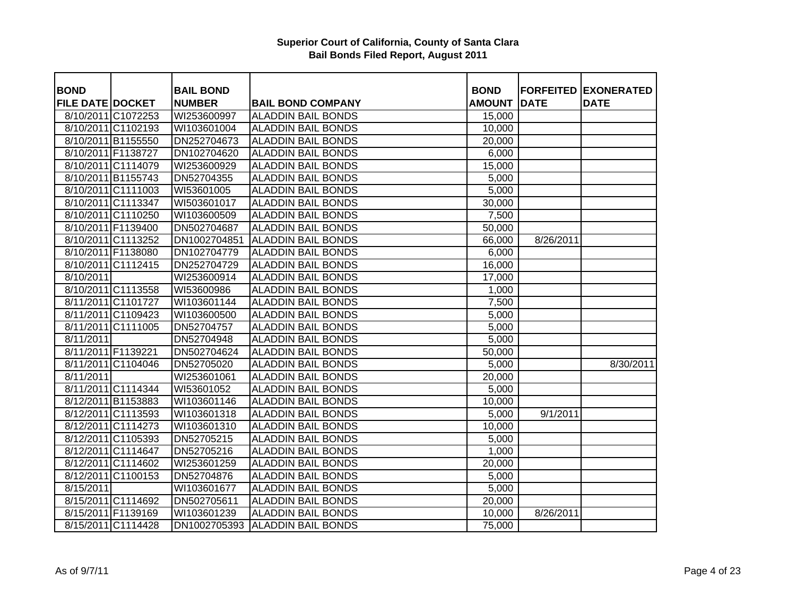| <b>BOND</b>             |                    | <b>BAIL BOND</b> |                           | <b>BOND</b>   |             | <b>FORFEITED EXONERATED</b> |
|-------------------------|--------------------|------------------|---------------------------|---------------|-------------|-----------------------------|
| <b>FILE DATE DOCKET</b> |                    | <b>NUMBER</b>    | <b>BAIL BOND COMPANY</b>  | <b>AMOUNT</b> | <b>DATE</b> | <b>DATE</b>                 |
|                         | 8/10/2011 C1072253 | WI253600997      | <b>ALADDIN BAIL BONDS</b> | 15,000        |             |                             |
|                         | 8/10/2011 C1102193 | WI103601004      | <b>ALADDIN BAIL BONDS</b> | 10,000        |             |                             |
|                         | 8/10/2011 B1155550 | DN252704673      | <b>ALADDIN BAIL BONDS</b> | 20,000        |             |                             |
| 8/10/2011 F1138727      |                    | DN102704620      | <b>ALADDIN BAIL BONDS</b> | 6,000         |             |                             |
|                         | 8/10/2011 C1114079 | WI253600929      | <b>ALADDIN BAIL BONDS</b> | 15,000        |             |                             |
|                         | 8/10/2011 B1155743 | DN52704355       | <b>ALADDIN BAIL BONDS</b> | 5,000         |             |                             |
|                         | 8/10/2011 C1111003 | WI53601005       | <b>ALADDIN BAIL BONDS</b> | 5,000         |             |                             |
|                         | 8/10/2011 C1113347 | WI503601017      | <b>ALADDIN BAIL BONDS</b> | 30,000        |             |                             |
|                         | 8/10/2011 C1110250 | WI103600509      | <b>ALADDIN BAIL BONDS</b> | 7,500         |             |                             |
|                         | 8/10/2011 F1139400 | DN502704687      | <b>ALADDIN BAIL BONDS</b> | 50,000        |             |                             |
|                         | 8/10/2011 C1113252 | DN1002704851     | <b>ALADDIN BAIL BONDS</b> | 66,000        | 8/26/2011   |                             |
|                         | 8/10/2011 F1138080 | DN102704779      | <b>ALADDIN BAIL BONDS</b> | 6,000         |             |                             |
|                         | 8/10/2011 C1112415 | DN252704729      | <b>ALADDIN BAIL BONDS</b> | 16,000        |             |                             |
| 8/10/2011               |                    | WI253600914      | <b>ALADDIN BAIL BONDS</b> | 17,000        |             |                             |
|                         | 8/10/2011 C1113558 | WI53600986       | <b>ALADDIN BAIL BONDS</b> | 1,000         |             |                             |
|                         | 8/11/2011 C1101727 | WI103601144      | <b>ALADDIN BAIL BONDS</b> | 7,500         |             |                             |
|                         | 8/11/2011 C1109423 | WI103600500      | <b>ALADDIN BAIL BONDS</b> | 5,000         |             |                             |
|                         | 8/11/2011 C1111005 | DN52704757       | <b>ALADDIN BAIL BONDS</b> | 5,000         |             |                             |
| 8/11/2011               |                    | DN52704948       | <b>ALADDIN BAIL BONDS</b> | 5,000         |             |                             |
| 8/11/2011 F1139221      |                    | DN502704624      | <b>ALADDIN BAIL BONDS</b> | 50,000        |             |                             |
|                         | 8/11/2011 C1104046 | DN52705020       | <b>ALADDIN BAIL BONDS</b> | 5,000         |             | 8/30/2011                   |
| 8/11/2011               |                    | WI253601061      | <b>ALADDIN BAIL BONDS</b> | 20,000        |             |                             |
|                         | 8/11/2011 C1114344 | WI53601052       | <b>ALADDIN BAIL BONDS</b> | 5,000         |             |                             |
|                         | 8/12/2011 B1153883 | WI103601146      | <b>ALADDIN BAIL BONDS</b> | 10,000        |             |                             |
|                         | 8/12/2011 C1113593 | WI103601318      | <b>ALADDIN BAIL BONDS</b> | 5,000         | 9/1/2011    |                             |
|                         | 8/12/2011 C1114273 | WI103601310      | <b>ALADDIN BAIL BONDS</b> | 10,000        |             |                             |
|                         | 8/12/2011 C1105393 | DN52705215       | <b>ALADDIN BAIL BONDS</b> | 5,000         |             |                             |
|                         | 8/12/2011 C1114647 | DN52705216       | <b>ALADDIN BAIL BONDS</b> | 1,000         |             |                             |
|                         | 8/12/2011 C1114602 | WI253601259      | <b>ALADDIN BAIL BONDS</b> | 20,000        |             |                             |
|                         | 8/12/2011 C1100153 | DN52704876       | <b>ALADDIN BAIL BONDS</b> | 5,000         |             |                             |
| 8/15/2011               |                    | WI103601677      | <b>ALADDIN BAIL BONDS</b> | 5,000         |             |                             |
|                         | 8/15/2011 C1114692 | DN502705611      | <b>ALADDIN BAIL BONDS</b> | 20,000        |             |                             |
|                         | 8/15/2011 F1139169 | WI103601239      | <b>ALADDIN BAIL BONDS</b> | 10,000        | 8/26/2011   |                             |
|                         | 8/15/2011 C1114428 | DN1002705393     | <b>ALADDIN BAIL BONDS</b> | 75,000        |             |                             |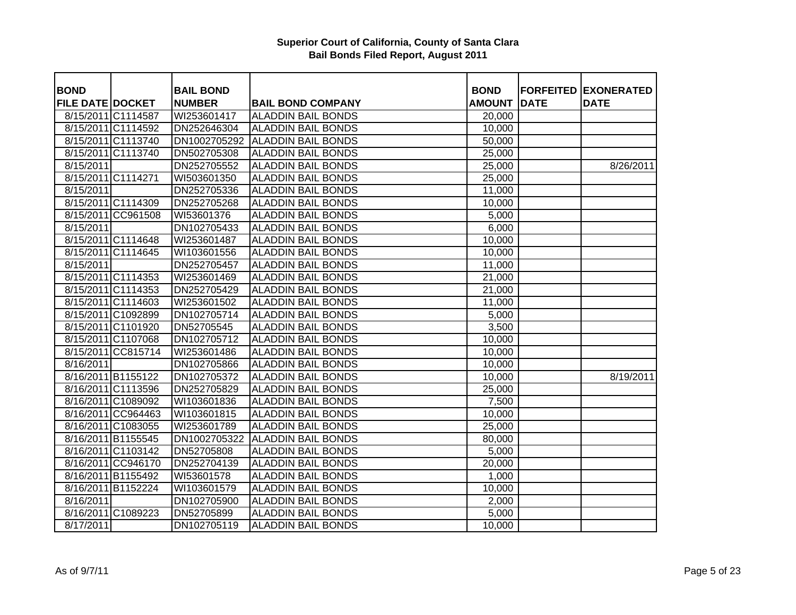| <b>BOND</b>             |                    | <b>BAIL BOND</b> |                           | <b>BOND</b>   |             | <b>FORFEITED EXONERATED</b> |
|-------------------------|--------------------|------------------|---------------------------|---------------|-------------|-----------------------------|
| <b>FILE DATE DOCKET</b> |                    | <b>NUMBER</b>    | <b>BAIL BOND COMPANY</b>  | <b>AMOUNT</b> | <b>DATE</b> | <b>DATE</b>                 |
| 8/15/2011 C1114587      |                    | WI253601417      | <b>ALADDIN BAIL BONDS</b> | 20,000        |             |                             |
|                         | 8/15/2011 C1114592 | DN252646304      | <b>ALADDIN BAIL BONDS</b> | 10,000        |             |                             |
|                         | 8/15/2011 C1113740 | DN1002705292     | <b>ALADDIN BAIL BONDS</b> | 50,000        |             |                             |
|                         | 8/15/2011 C1113740 | DN502705308      | <b>ALADDIN BAIL BONDS</b> | 25,000        |             |                             |
| 8/15/2011               |                    | DN252705552      | <b>ALADDIN BAIL BONDS</b> | 25,000        |             | 8/26/2011                   |
| 8/15/2011 C1114271      |                    | WI503601350      | <b>ALADDIN BAIL BONDS</b> | 25,000        |             |                             |
| 8/15/2011               |                    | DN252705336      | <b>ALADDIN BAIL BONDS</b> | 11,000        |             |                             |
|                         | 8/15/2011 C1114309 | DN252705268      | ALADDIN BAIL BONDS        | 10,000        |             |                             |
|                         | 8/15/2011 CC961508 | WI53601376       | <b>ALADDIN BAIL BONDS</b> | 5,000         |             |                             |
| 8/15/2011               |                    | DN102705433      | <b>ALADDIN BAIL BONDS</b> | 6,000         |             |                             |
|                         | 8/15/2011 C1114648 | WI253601487      | <b>ALADDIN BAIL BONDS</b> | 10,000        |             |                             |
|                         | 8/15/2011 C1114645 | WI103601556      | <b>ALADDIN BAIL BONDS</b> | 10,000        |             |                             |
| 8/15/2011               |                    | DN252705457      | <b>ALADDIN BAIL BONDS</b> | 11,000        |             |                             |
|                         | 8/15/2011 C1114353 | WI253601469      | <b>ALADDIN BAIL BONDS</b> | 21,000        |             |                             |
|                         | 8/15/2011 C1114353 | DN252705429      | <b>ALADDIN BAIL BONDS</b> | 21,000        |             |                             |
|                         | 8/15/2011 C1114603 | WI253601502      | <b>ALADDIN BAIL BONDS</b> | 11,000        |             |                             |
|                         | 8/15/2011 C1092899 | DN102705714      | <b>ALADDIN BAIL BONDS</b> | 5,000         |             |                             |
|                         | 8/15/2011 C1101920 | DN52705545       | <b>ALADDIN BAIL BONDS</b> | 3,500         |             |                             |
|                         | 8/15/2011 C1107068 | DN102705712      | <b>ALADDIN BAIL BONDS</b> | 10,000        |             |                             |
|                         | 8/15/2011 CC815714 | WI253601486      | <b>ALADDIN BAIL BONDS</b> | 10,000        |             |                             |
| 8/16/2011               |                    | DN102705866      | <b>ALADDIN BAIL BONDS</b> | 10,000        |             |                             |
|                         | 8/16/2011 B1155122 | DN102705372      | <b>ALADDIN BAIL BONDS</b> | 10,000        |             | 8/19/2011                   |
|                         | 8/16/2011 C1113596 | DN252705829      | <b>ALADDIN BAIL BONDS</b> | 25,000        |             |                             |
|                         | 8/16/2011 C1089092 | WI103601836      | <b>ALADDIN BAIL BONDS</b> | 7,500         |             |                             |
|                         | 8/16/2011 CC964463 | WI103601815      | <b>ALADDIN BAIL BONDS</b> | 10,000        |             |                             |
|                         | 8/16/2011 C1083055 | WI253601789      | <b>ALADDIN BAIL BONDS</b> | 25,000        |             |                             |
|                         | 8/16/2011 B1155545 | DN1002705322     | <b>ALADDIN BAIL BONDS</b> | 80,000        |             |                             |
|                         | 8/16/2011 C1103142 | DN52705808       | <b>ALADDIN BAIL BONDS</b> | 5,000         |             |                             |
|                         | 8/16/2011 CC946170 | DN252704139      | <b>ALADDIN BAIL BONDS</b> | 20,000        |             |                             |
|                         | 8/16/2011 B1155492 | WI53601578       | <b>ALADDIN BAIL BONDS</b> | 1,000         |             |                             |
|                         | 8/16/2011 B1152224 | WI103601579      | <b>ALADDIN BAIL BONDS</b> | 10,000        |             |                             |
| 8/16/2011               |                    | DN102705900      | <b>ALADDIN BAIL BONDS</b> | 2,000         |             |                             |
|                         | 8/16/2011 C1089223 | DN52705899       | <b>ALADDIN BAIL BONDS</b> | 5,000         |             |                             |
| 8/17/2011               |                    | DN102705119      | <b>ALADDIN BAIL BONDS</b> | 10,000        |             |                             |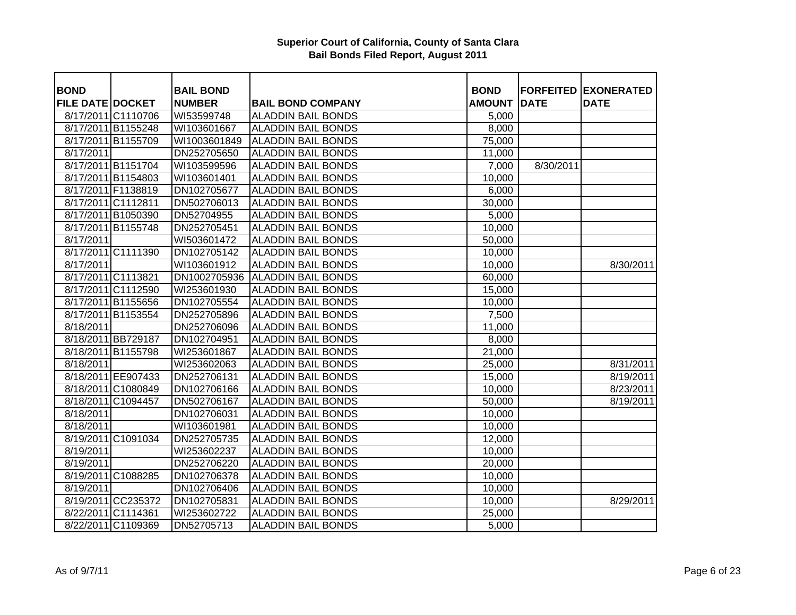| <b>BOND</b>             |                    | <b>BAIL BOND</b> |                           | <b>BOND</b>   |             | <b>FORFEITED EXONERATED</b> |
|-------------------------|--------------------|------------------|---------------------------|---------------|-------------|-----------------------------|
| <b>FILE DATE DOCKET</b> |                    | <b>NUMBER</b>    | <b>BAIL BOND COMPANY</b>  | <b>AMOUNT</b> | <b>DATE</b> | <b>DATE</b>                 |
|                         | 8/17/2011 C1110706 | WI53599748       | <b>ALADDIN BAIL BONDS</b> | 5,000         |             |                             |
|                         | 8/17/2011 B1155248 | WI103601667      | <b>ALADDIN BAIL BONDS</b> | 8,000         |             |                             |
|                         | 8/17/2011 B1155709 | WI1003601849     | <b>ALADDIN BAIL BONDS</b> | 75,000        |             |                             |
| 8/17/2011               |                    | DN252705650      | <b>ALADDIN BAIL BONDS</b> | 11,000        |             |                             |
|                         | 8/17/2011 B1151704 | WI103599596      | <b>ALADDIN BAIL BONDS</b> | 7,000         | 8/30/2011   |                             |
|                         | 8/17/2011 B1154803 | WI103601401      | <b>ALADDIN BAIL BONDS</b> | 10,000        |             |                             |
|                         | 8/17/2011 F1138819 | DN102705677      | <b>ALADDIN BAIL BONDS</b> | 6,000         |             |                             |
|                         | 8/17/2011 C1112811 | DN502706013      | <b>ALADDIN BAIL BONDS</b> | 30,000        |             |                             |
|                         | 8/17/2011 B1050390 | DN52704955       | <b>ALADDIN BAIL BONDS</b> | 5,000         |             |                             |
|                         | 8/17/2011 B1155748 | DN252705451      | <b>ALADDIN BAIL BONDS</b> | 10,000        |             |                             |
| 8/17/2011               |                    | WI503601472      | <b>ALADDIN BAIL BONDS</b> | 50,000        |             |                             |
|                         | 8/17/2011 C1111390 | DN102705142      | <b>ALADDIN BAIL BONDS</b> | 10,000        |             |                             |
| 8/17/2011               |                    | WI103601912      | <b>ALADDIN BAIL BONDS</b> | 10,000        |             | 8/30/2011                   |
|                         | 8/17/2011 C1113821 | DN1002705936     | <b>ALADDIN BAIL BONDS</b> | 60,000        |             |                             |
|                         | 8/17/2011 C1112590 | WI253601930      | <b>ALADDIN BAIL BONDS</b> | 15,000        |             |                             |
|                         | 8/17/2011 B1155656 | DN102705554      | <b>ALADDIN BAIL BONDS</b> | 10,000        |             |                             |
|                         | 8/17/2011 B1153554 | DN252705896      | <b>ALADDIN BAIL BONDS</b> | 7,500         |             |                             |
| 8/18/2011               |                    | DN252706096      | <b>ALADDIN BAIL BONDS</b> | 11,000        |             |                             |
|                         | 8/18/2011 BB729187 | DN102704951      | <b>ALADDIN BAIL BONDS</b> | 8,000         |             |                             |
|                         | 8/18/2011 B1155798 | WI253601867      | <b>ALADDIN BAIL BONDS</b> | 21,000        |             |                             |
| 8/18/2011               |                    | WI253602063      | <b>ALADDIN BAIL BONDS</b> | 25,000        |             | 8/31/2011                   |
|                         | 8/18/2011 EE907433 | DN252706131      | <b>ALADDIN BAIL BONDS</b> | 15,000        |             | 8/19/2011                   |
|                         | 8/18/2011 C1080849 | DN102706166      | <b>ALADDIN BAIL BONDS</b> | 10,000        |             | 8/23/2011                   |
|                         | 8/18/2011 C1094457 | DN502706167      | <b>ALADDIN BAIL BONDS</b> | 50,000        |             | 8/19/2011                   |
| 8/18/2011               |                    | DN102706031      | <b>ALADDIN BAIL BONDS</b> | 10,000        |             |                             |
| 8/18/2011               |                    | WI103601981      | <b>ALADDIN BAIL BONDS</b> | 10,000        |             |                             |
|                         | 8/19/2011 C1091034 | DN252705735      | <b>ALADDIN BAIL BONDS</b> | 12,000        |             |                             |
| 8/19/2011               |                    | WI253602237      | <b>ALADDIN BAIL BONDS</b> | 10,000        |             |                             |
| 8/19/2011               |                    | DN252706220      | <b>ALADDIN BAIL BONDS</b> | 20,000        |             |                             |
|                         | 8/19/2011 C1088285 | DN102706378      | <b>ALADDIN BAIL BONDS</b> | 10,000        |             |                             |
| 8/19/2011               |                    | DN102706406      | <b>ALADDIN BAIL BONDS</b> | 10,000        |             |                             |
|                         | 8/19/2011 CC235372 | DN102705831      | <b>ALADDIN BAIL BONDS</b> | 10,000        |             | 8/29/2011                   |
|                         | 8/22/2011 C1114361 | WI253602722      | <b>ALADDIN BAIL BONDS</b> | 25,000        |             |                             |
|                         | 8/22/2011 C1109369 | DN52705713       | <b>ALADDIN BAIL BONDS</b> | 5,000         |             |                             |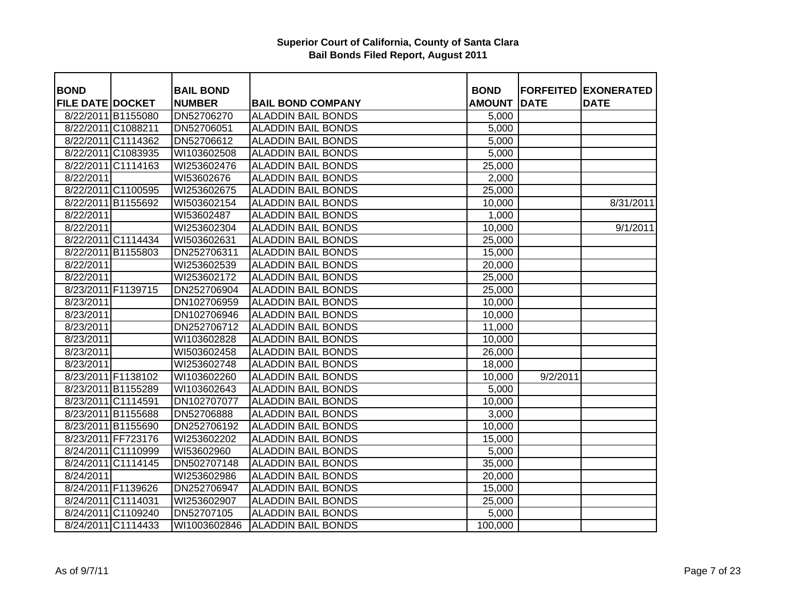| <b>BOND</b>             |                    | <b>BAIL BOND</b>  |                           | <b>BOND</b>   | <b>FORFEITED</b> | <b>EXONERATED</b> |
|-------------------------|--------------------|-------------------|---------------------------|---------------|------------------|-------------------|
| <b>FILE DATE DOCKET</b> |                    | <b>NUMBER</b>     | <b>BAIL BOND COMPANY</b>  | <b>AMOUNT</b> | <b>DATE</b>      | <b>DATE</b>       |
| 8/22/2011 B1155080      |                    | DN52706270        | <b>ALADDIN BAIL BONDS</b> | 5,000         |                  |                   |
|                         | 8/22/2011 C1088211 | DN52706051        | <b>ALADDIN BAIL BONDS</b> | 5,000         |                  |                   |
|                         | 8/22/2011 C1114362 | DN52706612        | <b>ALADDIN BAIL BONDS</b> | 5,000         |                  |                   |
|                         | 8/22/2011 C1083935 | WI103602508       | <b>ALADDIN BAIL BONDS</b> | 5,000         |                  |                   |
|                         | 8/22/2011 C1114163 | WI253602476       | <b>ALADDIN BAIL BONDS</b> | 25,000        |                  |                   |
| 8/22/2011               |                    | WI53602676        | <b>ALADDIN BAIL BONDS</b> | 2,000         |                  |                   |
|                         | 8/22/2011 C1100595 | WI253602675       | <b>ALADDIN BAIL BONDS</b> | 25,000        |                  |                   |
|                         | 8/22/2011 B1155692 | WI503602154       | <b>ALADDIN BAIL BONDS</b> | 10,000        |                  | 8/31/2011         |
| 8/22/2011               |                    | WI53602487        | <b>ALADDIN BAIL BONDS</b> | 1,000         |                  |                   |
| 8/22/2011               |                    | WI253602304       | <b>ALADDIN BAIL BONDS</b> | 10,000        |                  | 9/1/2011          |
|                         | 8/22/2011 C1114434 | WI503602631       | <b>ALADDIN BAIL BONDS</b> | 25,000        |                  |                   |
|                         | 8/22/2011 B1155803 | DN252706311       | <b>ALADDIN BAIL BONDS</b> | 15,000        |                  |                   |
| 8/22/2011               |                    | WI253602539       | <b>ALADDIN BAIL BONDS</b> | 20,000        |                  |                   |
| 8/22/2011               |                    | WI253602172       | <b>ALADDIN BAIL BONDS</b> | 25,000        |                  |                   |
|                         | 8/23/2011 F1139715 | DN252706904       | <b>ALADDIN BAIL BONDS</b> | 25,000        |                  |                   |
| 8/23/2011               |                    | DN102706959       | <b>ALADDIN BAIL BONDS</b> | 10,000        |                  |                   |
| 8/23/2011               |                    | DN102706946       | <b>ALADDIN BAIL BONDS</b> | 10,000        |                  |                   |
| 8/23/2011               |                    | DN252706712       | <b>ALADDIN BAIL BONDS</b> | 11,000        |                  |                   |
| 8/23/2011               |                    | WI103602828       | <b>ALADDIN BAIL BONDS</b> | 10,000        |                  |                   |
| 8/23/2011               |                    | WI503602458       | <b>ALADDIN BAIL BONDS</b> | 26,000        |                  |                   |
| 8/23/2011               |                    | WI253602748       | <b>ALADDIN BAIL BONDS</b> | 18,000        |                  |                   |
|                         | 8/23/2011 F1138102 | WI103602260       | <b>ALADDIN BAIL BONDS</b> | 10,000        | 9/2/2011         |                   |
|                         | 8/23/2011 B1155289 | WI103602643       | <b>ALADDIN BAIL BONDS</b> | 5,000         |                  |                   |
|                         | 8/23/2011 C1114591 | DN102707077       | <b>ALADDIN BAIL BONDS</b> | 10,000        |                  |                   |
|                         | 8/23/2011 B1155688 | <b>DN52706888</b> | <b>ALADDIN BAIL BONDS</b> | 3,000         |                  |                   |
|                         | 8/23/2011 B1155690 | DN252706192       | <b>ALADDIN BAIL BONDS</b> | 10,000        |                  |                   |
|                         | 8/23/2011 FF723176 | WI253602202       | <b>ALADDIN BAIL BONDS</b> | 15,000        |                  |                   |
|                         | 8/24/2011 C1110999 | WI53602960        | <b>ALADDIN BAIL BONDS</b> | 5,000         |                  |                   |
|                         | 8/24/2011 C1114145 | DN502707148       | <b>ALADDIN BAIL BONDS</b> | 35,000        |                  |                   |
| 8/24/2011               |                    | WI253602986       | <b>ALADDIN BAIL BONDS</b> | 20,000        |                  |                   |
|                         | 8/24/2011 F1139626 | DN252706947       | <b>ALADDIN BAIL BONDS</b> | 15,000        |                  |                   |
|                         | 8/24/2011 C1114031 | WI253602907       | <b>ALADDIN BAIL BONDS</b> | 25,000        |                  |                   |
|                         | 8/24/2011 C1109240 | DN52707105        | <b>ALADDIN BAIL BONDS</b> | 5,000         |                  |                   |
|                         | 8/24/2011 C1114433 | WI1003602846      | <b>ALADDIN BAIL BONDS</b> | 100,000       |                  |                   |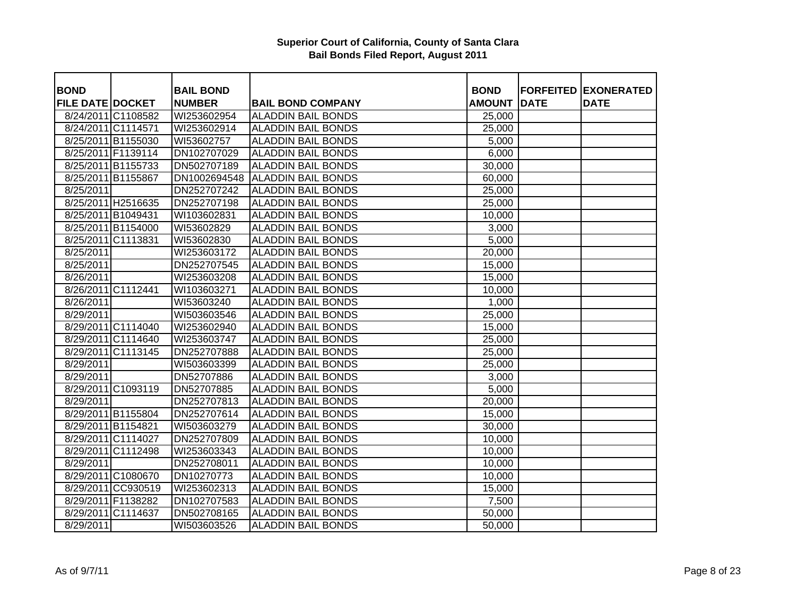| <b>BOND</b>             |                    | <b>BAIL BOND</b> |                           | <b>BOND</b>         |             | <b>FORFEITED EXONERATED</b> |
|-------------------------|--------------------|------------------|---------------------------|---------------------|-------------|-----------------------------|
| <b>FILE DATE DOCKET</b> |                    | <b>NUMBER</b>    | <b>BAIL BOND COMPANY</b>  | <b>AMOUNT</b>       | <b>DATE</b> | <b>DATE</b>                 |
|                         | 8/24/2011 C1108582 | WI253602954      | <b>ALADDIN BAIL BONDS</b> | 25,000              |             |                             |
|                         | 8/24/2011 C1114571 | WI253602914      | <b>ALADDIN BAIL BONDS</b> | 25,000              |             |                             |
|                         | 8/25/2011 B1155030 | WI53602757       | <b>ALADDIN BAIL BONDS</b> | 5,000               |             |                             |
|                         | 8/25/2011 F1139114 | DN102707029      | <b>ALADDIN BAIL BONDS</b> | 6,000               |             |                             |
|                         | 8/25/2011 B1155733 | DN502707189      | <b>ALADDIN BAIL BONDS</b> | 30,000              |             |                             |
|                         | 8/25/2011 B1155867 | DN1002694548     | <b>ALADDIN BAIL BONDS</b> | 60,000              |             |                             |
| 8/25/2011               |                    | DN252707242      | <b>ALADDIN BAIL BONDS</b> | 25,000              |             |                             |
|                         | 8/25/2011 H2516635 | DN252707198      | <b>ALADDIN BAIL BONDS</b> | 25,000              |             |                             |
|                         | 8/25/2011 B1049431 | WI103602831      | <b>ALADDIN BAIL BONDS</b> | 10,000              |             |                             |
|                         | 8/25/2011 B1154000 | WI53602829       | <b>ALADDIN BAIL BONDS</b> | 3,000               |             |                             |
|                         | 8/25/2011 C1113831 | WI53602830       | <b>ALADDIN BAIL BONDS</b> | 5,000               |             |                             |
| 8/25/2011               |                    | WI253603172      | <b>ALADDIN BAIL BONDS</b> | 20,000              |             |                             |
| 8/25/2011               |                    | DN252707545      | <b>ALADDIN BAIL BONDS</b> | 15,000              |             |                             |
| 8/26/2011               |                    | WI253603208      | <b>ALADDIN BAIL BONDS</b> | 15,000              |             |                             |
|                         | 8/26/2011 C1112441 | WI103603271      | <b>ALADDIN BAIL BONDS</b> | 10,000              |             |                             |
| 8/26/2011               |                    | WI53603240       | <b>ALADDIN BAIL BONDS</b> | 1,000               |             |                             |
| 8/29/2011               |                    | WI503603546      | <b>ALADDIN BAIL BONDS</b> | 25,000              |             |                             |
|                         | 8/29/2011 C1114040 | WI253602940      | <b>ALADDIN BAIL BONDS</b> | 15,000              |             |                             |
|                         | 8/29/2011 C1114640 | WI253603747      | <b>ALADDIN BAIL BONDS</b> | 25,000              |             |                             |
|                         | 8/29/2011 C1113145 | DN252707888      | <b>ALADDIN BAIL BONDS</b> | 25,000              |             |                             |
| 8/29/2011               |                    | WI503603399      | <b>ALADDIN BAIL BONDS</b> | 25,000              |             |                             |
| 8/29/2011               |                    | DN52707886       | <b>ALADDIN BAIL BONDS</b> | 3,000               |             |                             |
|                         | 8/29/2011 C1093119 | DN52707885       | <b>ALADDIN BAIL BONDS</b> | 5,000               |             |                             |
| 8/29/2011               |                    | DN252707813      | <b>ALADDIN BAIL BONDS</b> | 20,000              |             |                             |
|                         | 8/29/2011 B1155804 | DN252707614      | <b>ALADDIN BAIL BONDS</b> | 15,000              |             |                             |
| 8/29/2011 B1154821      |                    | WI503603279      | <b>ALADDIN BAIL BONDS</b> | $\overline{30,000}$ |             |                             |
|                         | 8/29/2011 C1114027 | DN252707809      | <b>ALADDIN BAIL BONDS</b> | 10,000              |             |                             |
|                         | 8/29/2011 C1112498 | WI253603343      | <b>ALADDIN BAIL BONDS</b> | 10,000              |             |                             |
| 8/29/2011               |                    | DN252708011      | <b>ALADDIN BAIL BONDS</b> | 10,000              |             |                             |
|                         | 8/29/2011 C1080670 | DN10270773       | <b>ALADDIN BAIL BONDS</b> | 10,000              |             |                             |
|                         | 8/29/2011 CC930519 | WI253602313      | <b>ALADDIN BAIL BONDS</b> | 15,000              |             |                             |
|                         | 8/29/2011 F1138282 | DN102707583      | <b>ALADDIN BAIL BONDS</b> | 7,500               |             |                             |
|                         | 8/29/2011 C1114637 | DN502708165      | <b>ALADDIN BAIL BONDS</b> | 50,000              |             |                             |
| 8/29/2011               |                    | WI503603526      | <b>ALADDIN BAIL BONDS</b> | 50,000              |             |                             |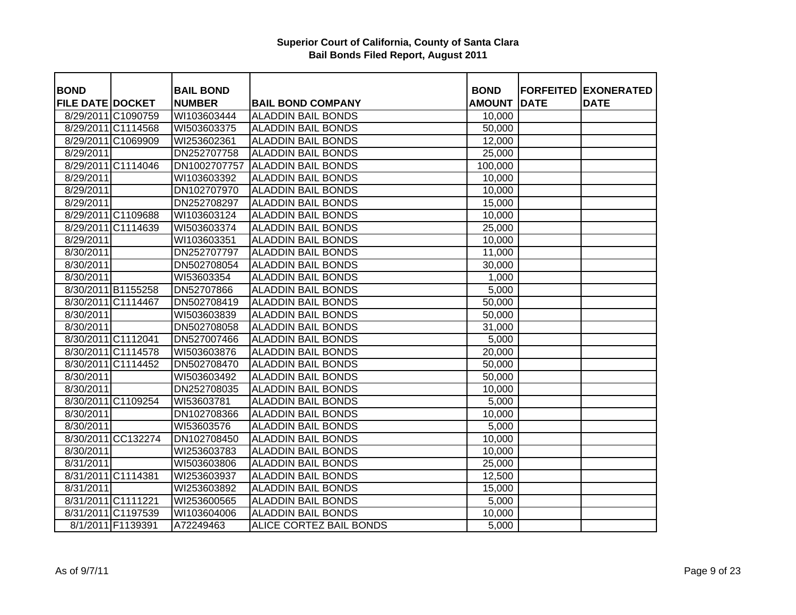| <b>BOND</b>             |                    | <b>BAIL BOND</b>           |                           | <b>BOND</b>      |             | <b>FORFEITED EXONERATED</b> |
|-------------------------|--------------------|----------------------------|---------------------------|------------------|-------------|-----------------------------|
| <b>FILE DATE DOCKET</b> |                    | <b>NUMBER</b>              | <b>BAIL BOND COMPANY</b>  | <b>AMOUNT</b>    | <b>DATE</b> | <b>DATE</b>                 |
|                         | 8/29/2011 C1090759 | WI103603444                | <b>ALADDIN BAIL BONDS</b> | 10,000           |             |                             |
|                         | 8/29/2011 C1114568 | WI503603375                | <b>ALADDIN BAIL BONDS</b> | 50,000           |             |                             |
|                         | 8/29/2011 C1069909 | WI253602361                | <b>ALADDIN BAIL BONDS</b> | 12,000           |             |                             |
| 8/29/2011               |                    | DN252707758                | <b>ALADDIN BAIL BONDS</b> | 25,000           |             |                             |
|                         | 8/29/2011 C1114046 | DN1002707757               | <b>ALADDIN BAIL BONDS</b> | 100,000          |             |                             |
| 8/29/2011               |                    | WI103603392                | <b>ALADDIN BAIL BONDS</b> | 10,000           |             |                             |
| 8/29/2011               |                    | DN102707970                | <b>ALADDIN BAIL BONDS</b> | 10,000           |             |                             |
| 8/29/2011               |                    | DN252708297                | <b>ALADDIN BAIL BONDS</b> | 15,000           |             |                             |
|                         | 8/29/2011 C1109688 | WI103603124                | <b>ALADDIN BAIL BONDS</b> | 10,000           |             |                             |
|                         | 8/29/2011 C1114639 | WI503603374                | <b>ALADDIN BAIL BONDS</b> | 25,000           |             |                             |
| 8/29/2011               |                    |                            | <b>ALADDIN BAIL BONDS</b> |                  |             |                             |
| 8/30/2011               |                    | WI103603351<br>DN252707797 | <b>ALADDIN BAIL BONDS</b> | 10,000<br>11,000 |             |                             |
|                         |                    |                            | <b>ALADDIN BAIL BONDS</b> |                  |             |                             |
| 8/30/2011               |                    | DN502708054                |                           | 30,000           |             |                             |
| 8/30/2011               |                    | WI53603354                 | <b>ALADDIN BAIL BONDS</b> | 1,000            |             |                             |
|                         | 8/30/2011 B1155258 | DN52707866                 | <b>ALADDIN BAIL BONDS</b> | 5,000            |             |                             |
|                         | 8/30/2011 C1114467 | DN502708419                | <b>ALADDIN BAIL BONDS</b> | 50,000           |             |                             |
| 8/30/2011               |                    | WI503603839                | <b>ALADDIN BAIL BONDS</b> | 50,000           |             |                             |
| 8/30/2011               |                    | DN502708058                | <b>ALADDIN BAIL BONDS</b> | 31,000           |             |                             |
|                         | 8/30/2011 C1112041 | DN527007466                | <b>ALADDIN BAIL BONDS</b> | 5,000            |             |                             |
|                         | 8/30/2011 C1114578 | WI503603876                | <b>ALADDIN BAIL BONDS</b> | 20,000           |             |                             |
|                         | 8/30/2011 C1114452 | DN502708470                | <b>ALADDIN BAIL BONDS</b> | 50,000           |             |                             |
| 8/30/2011               |                    | WI503603492                | <b>ALADDIN BAIL BONDS</b> | 50,000           |             |                             |
| 8/30/2011               |                    | DN252708035                | <b>ALADDIN BAIL BONDS</b> | 10,000           |             |                             |
|                         | 8/30/2011 C1109254 | WI53603781                 | <b>ALADDIN BAIL BONDS</b> | 5,000            |             |                             |
| 8/30/2011               |                    | DN102708366                | <b>ALADDIN BAIL BONDS</b> | 10,000           |             |                             |
| 8/30/2011               |                    | WI53603576                 | <b>ALADDIN BAIL BONDS</b> | 5,000            |             |                             |
|                         | 8/30/2011 CC132274 | DN102708450                | <b>ALADDIN BAIL BONDS</b> | 10,000           |             |                             |
| 8/30/2011               |                    | WI253603783                | <b>ALADDIN BAIL BONDS</b> | 10,000           |             |                             |
| 8/31/2011               |                    | WI503603806                | <b>ALADDIN BAIL BONDS</b> | 25,000           |             |                             |
|                         | 8/31/2011 C1114381 | WI253603937                | <b>ALADDIN BAIL BONDS</b> | 12,500           |             |                             |
| 8/31/2011               |                    | WI253603892                | <b>ALADDIN BAIL BONDS</b> | 15,000           |             |                             |
|                         | 8/31/2011 C1111221 | WI253600565                | <b>ALADDIN BAIL BONDS</b> | 5,000            |             |                             |
|                         | 8/31/2011 C1197539 | WI103604006                | <b>ALADDIN BAIL BONDS</b> | 10,000           |             |                             |
|                         | 8/1/2011 F1139391  | A72249463                  | ALICE CORTEZ BAIL BONDS   | 5,000            |             |                             |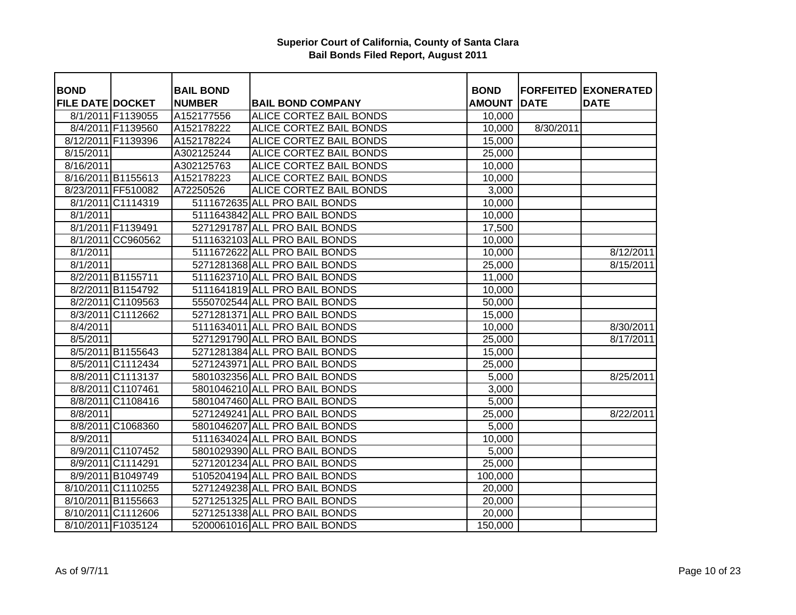| <b>BOND</b>             |                    | <b>BAIL BOND</b> |                                | <b>BOND</b>         |             | <b>FORFEITED EXONERATED</b> |
|-------------------------|--------------------|------------------|--------------------------------|---------------------|-------------|-----------------------------|
| <b>FILE DATE DOCKET</b> |                    | <b>NUMBER</b>    | <b>BAIL BOND COMPANY</b>       | <b>AMOUNT</b>       | <b>DATE</b> | <b>DATE</b>                 |
|                         | 8/1/2011 F1139055  | A152177556       | <b>ALICE CORTEZ BAIL BONDS</b> | 10,000              |             |                             |
|                         | 8/4/2011 F1139560  | A152178222       | <b>ALICE CORTEZ BAIL BONDS</b> | 10,000              | 8/30/2011   |                             |
|                         | 8/12/2011 F1139396 | A152178224       | <b>ALICE CORTEZ BAIL BONDS</b> | 15,000              |             |                             |
| 8/15/2011               |                    | A302125244       | <b>ALICE CORTEZ BAIL BONDS</b> | 25,000              |             |                             |
| 8/16/2011               |                    | A302125763       | ALICE CORTEZ BAIL BONDS        | 10,000              |             |                             |
|                         | 8/16/2011 B1155613 | A152178223       | ALICE CORTEZ BAIL BONDS        | 10,000              |             |                             |
|                         | 8/23/2011 FF510082 | A72250526        | ALICE CORTEZ BAIL BONDS        | 3,000               |             |                             |
|                         | 8/1/2011 C1114319  |                  | 5111672635 ALL PRO BAIL BONDS  | 10,000              |             |                             |
| 8/1/2011                |                    |                  | 5111643842 ALL PRO BAIL BONDS  | 10,000              |             |                             |
|                         | 8/1/2011 F1139491  |                  | 5271291787 ALL PRO BAIL BONDS  | 17,500              |             |                             |
|                         | 8/1/2011 CC960562  |                  | 5111632103 ALL PRO BAIL BONDS  | 10,000              |             |                             |
| 8/1/2011                |                    |                  | 5111672622 ALL PRO BAIL BONDS  | 10,000              |             | 8/12/2011                   |
| 8/1/2011                |                    |                  | 5271281368 ALL PRO BAIL BONDS  | 25,000              |             | 8/15/2011                   |
|                         | 8/2/2011 B1155711  |                  | 5111623710 ALL PRO BAIL BONDS  | 11,000              |             |                             |
|                         | 8/2/2011 B1154792  |                  | 5111641819 ALL PRO BAIL BONDS  | 10,000              |             |                             |
|                         | 8/2/2011 C1109563  |                  | 5550702544 ALL PRO BAIL BONDS  | 50,000              |             |                             |
|                         | 8/3/2011 C1112662  |                  | 5271281371 ALL PRO BAIL BONDS  | 15,000              |             |                             |
| 8/4/2011                |                    |                  | 5111634011 ALL PRO BAIL BONDS  | 10,000              |             | 8/30/2011                   |
| 8/5/2011                |                    |                  | 5271291790 ALL PRO BAIL BONDS  | 25,000              |             | 8/17/2011                   |
|                         | 8/5/2011 B1155643  |                  | 5271281384 ALL PRO BAIL BONDS  | 15,000              |             |                             |
|                         | 8/5/2011 C1112434  |                  | 5271243971 ALL PRO BAIL BONDS  | 25,000              |             |                             |
|                         | 8/8/2011 C1113137  |                  | 5801032356 ALL PRO BAIL BONDS  | 5,000               |             | 8/25/2011                   |
|                         | 8/8/2011 C1107461  |                  | 5801046210 ALL PRO BAIL BONDS  | 3,000               |             |                             |
|                         | 8/8/2011 C1108416  |                  | 5801047460 ALL PRO BAIL BONDS  | 5,000               |             |                             |
| 8/8/2011                |                    |                  | 5271249241 ALL PRO BAIL BONDS  | 25,000              |             | 8/22/2011                   |
|                         | 8/8/2011 C1068360  |                  | 5801046207 ALL PRO BAIL BONDS  | 5,000               |             |                             |
| 8/9/2011                |                    |                  | 5111634024 ALL PRO BAIL BONDS  | 10,000              |             |                             |
|                         | 8/9/2011 C1107452  |                  | 5801029390 ALL PRO BAIL BONDS  | 5,000               |             |                             |
|                         | 8/9/2011 C1114291  |                  | 5271201234 ALL PRO BAIL BONDS  | $\overline{2}5,000$ |             |                             |
|                         | 8/9/2011 B1049749  |                  | 5105204194 ALL PRO BAIL BONDS  | 100,000             |             |                             |
|                         | 8/10/2011 C1110255 |                  | 5271249238 ALL PRO BAIL BONDS  | 20,000              |             |                             |
|                         | 8/10/2011 B1155663 |                  | 5271251325 ALL PRO BAIL BONDS  | 20,000              |             |                             |
|                         | 8/10/2011 C1112606 |                  | 5271251338 ALL PRO BAIL BONDS  | 20,000              |             |                             |
|                         | 8/10/2011 F1035124 |                  | 5200061016 ALL PRO BAIL BONDS  | 150,000             |             |                             |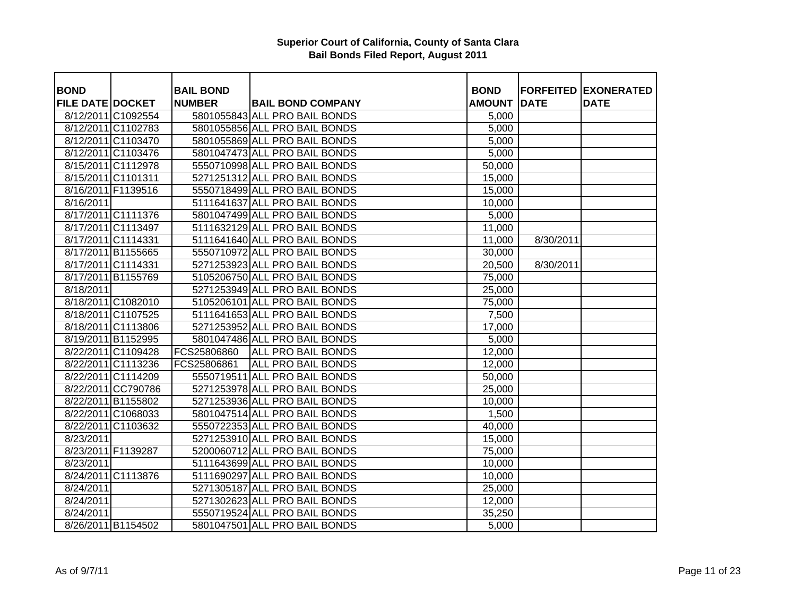| <b>BOND</b>             |                    | <b>BAIL BOND</b> |                               | <b>BOND</b>   |             | <b>FORFEITED EXONERATED</b> |
|-------------------------|--------------------|------------------|-------------------------------|---------------|-------------|-----------------------------|
| <b>FILE DATE DOCKET</b> |                    | <b>NUMBER</b>    | <b>BAIL BOND COMPANY</b>      | <b>AMOUNT</b> | <b>DATE</b> | <b>DATE</b>                 |
|                         | 8/12/2011 C1092554 |                  | 5801055843 ALL PRO BAIL BONDS | 5,000         |             |                             |
|                         | 8/12/2011 C1102783 |                  | 5801055856 ALL PRO BAIL BONDS | 5,000         |             |                             |
|                         | 8/12/2011 C1103470 |                  | 5801055869 ALL PRO BAIL BONDS | 5,000         |             |                             |
|                         | 8/12/2011 C1103476 |                  | 5801047473 ALL PRO BAIL BONDS | 5,000         |             |                             |
|                         | 8/15/2011 C1112978 |                  | 5550710998 ALL PRO BAIL BONDS | 50,000        |             |                             |
|                         | 8/15/2011 C1101311 |                  | 5271251312 ALL PRO BAIL BONDS | 15,000        |             |                             |
|                         | 8/16/2011 F1139516 |                  | 5550718499 ALL PRO BAIL BONDS | 15,000        |             |                             |
| 8/16/2011               |                    |                  | 5111641637 ALL PRO BAIL BONDS | 10,000        |             |                             |
|                         | 8/17/2011 C1111376 |                  | 5801047499 ALL PRO BAIL BONDS | 5,000         |             |                             |
|                         | 8/17/2011 C1113497 |                  | 5111632129 ALL PRO BAIL BONDS | 11,000        |             |                             |
| 8/17/2011 C1114331      |                    |                  | 5111641640 ALL PRO BAIL BONDS | 11,000        | 8/30/2011   |                             |
|                         | 8/17/2011 B1155665 |                  | 5550710972 ALL PRO BAIL BONDS | 30,000        |             |                             |
|                         | 8/17/2011 C1114331 |                  | 5271253923 ALL PRO BAIL BONDS | 20,500        | 8/30/2011   |                             |
|                         | 8/17/2011 B1155769 |                  | 5105206750 ALL PRO BAIL BONDS | 75,000        |             |                             |
| 8/18/2011               |                    |                  | 5271253949 ALL PRO BAIL BONDS | 25,000        |             |                             |
|                         | 8/18/2011 C1082010 |                  | 5105206101 ALL PRO BAIL BONDS | 75,000        |             |                             |
|                         | 8/18/2011 C1107525 |                  | 5111641653 ALL PRO BAIL BONDS | 7,500         |             |                             |
|                         | 8/18/2011 C1113806 |                  | 5271253952 ALL PRO BAIL BONDS | 17,000        |             |                             |
|                         | 8/19/2011 B1152995 |                  | 5801047486 ALL PRO BAIL BONDS | 5,000         |             |                             |
|                         | 8/22/2011 C1109428 | FCS25806860      | ALL PRO BAIL BONDS            | 12,000        |             |                             |
|                         | 8/22/2011 C1113236 | FCS25806861      | <b>ALL PRO BAIL BONDS</b>     | 12,000        |             |                             |
|                         | 8/22/2011 C1114209 |                  | 5550719511 ALL PRO BAIL BONDS | 50,000        |             |                             |
|                         | 8/22/2011 CC790786 |                  | 5271253978 ALL PRO BAIL BONDS | 25,000        |             |                             |
|                         | 8/22/2011 B1155802 |                  | 5271253936 ALL PRO BAIL BONDS | 10,000        |             |                             |
|                         | 8/22/2011 C1068033 |                  | 5801047514 ALL PRO BAIL BONDS | 1,500         |             |                             |
|                         | 8/22/2011 C1103632 |                  | 5550722353 ALL PRO BAIL BONDS | 40,000        |             |                             |
| 8/23/2011               |                    |                  | 5271253910 ALL PRO BAIL BONDS | 15,000        |             |                             |
|                         | 8/23/2011 F1139287 |                  | 5200060712 ALL PRO BAIL BONDS | 75,000        |             |                             |
| 8/23/2011               |                    |                  | 5111643699 ALL PRO BAIL BONDS | 10,000        |             |                             |
|                         | 8/24/2011 C1113876 |                  | 5111690297 ALL PRO BAIL BONDS | 10,000        |             |                             |
| $\sqrt{8}/24/2011$      |                    |                  | 5271305187 ALL PRO BAIL BONDS | 25,000        |             |                             |
| 8/24/2011               |                    |                  | 5271302623 ALL PRO BAIL BONDS | 12,000        |             |                             |
| 8/24/2011               |                    |                  | 5550719524 ALL PRO BAIL BONDS | 35,250        |             |                             |
|                         | 8/26/2011 B1154502 |                  | 5801047501 ALL PRO BAIL BONDS | 5,000         |             |                             |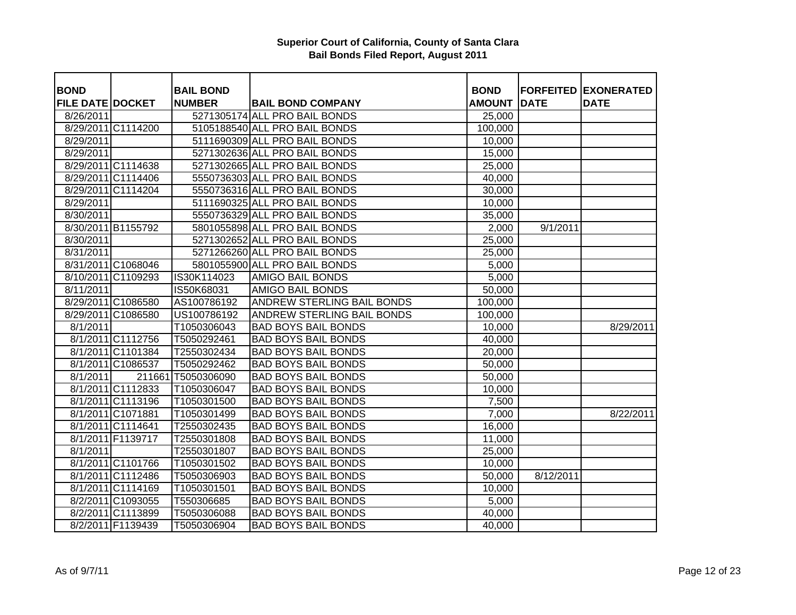| <b>BOND</b>             |                    | <b>BAIL BOND</b> |                                   | <b>BOND</b>   |             | <b>FORFEITED EXONERATED</b> |
|-------------------------|--------------------|------------------|-----------------------------------|---------------|-------------|-----------------------------|
| <b>FILE DATE DOCKET</b> |                    | <b>NUMBER</b>    | <b>BAIL BOND COMPANY</b>          | <b>AMOUNT</b> | <b>DATE</b> | <b>DATE</b>                 |
| 8/26/2011               |                    |                  | 5271305174 ALL PRO BAIL BONDS     | 25,000        |             |                             |
|                         | 8/29/2011 C1114200 |                  | 5105188540 ALL PRO BAIL BONDS     | 100,000       |             |                             |
| 8/29/2011               |                    |                  | 5111690309 ALL PRO BAIL BONDS     | 10,000        |             |                             |
| 8/29/2011               |                    |                  | 5271302636 ALL PRO BAIL BONDS     | 15,000        |             |                             |
|                         | 8/29/2011 C1114638 |                  | 5271302665 ALL PRO BAIL BONDS     | 25,000        |             |                             |
|                         | 8/29/2011 C1114406 |                  | 5550736303 ALL PRO BAIL BONDS     | 40,000        |             |                             |
|                         | 8/29/2011 C1114204 |                  | 5550736316 ALL PRO BAIL BONDS     | 30,000        |             |                             |
| 8/29/2011               |                    |                  | 5111690325 ALL PRO BAIL BONDS     | 10,000        |             |                             |
| 8/30/2011               |                    |                  | 5550736329 ALL PRO BAIL BONDS     | 35,000        |             |                             |
|                         | 8/30/2011 B1155792 |                  | 5801055898 ALL PRO BAIL BONDS     | 2,000         | 9/1/2011    |                             |
| 8/30/2011               |                    |                  | 5271302652 ALL PRO BAIL BONDS     | 25,000        |             |                             |
| 8/31/2011               |                    |                  | 5271266260 ALL PRO BAIL BONDS     | 25,000        |             |                             |
|                         | 8/31/2011 C1068046 |                  | 5801055900 ALL PRO BAIL BONDS     | 5,000         |             |                             |
|                         | 8/10/2011 C1109293 | IS30K114023      | <b>AMIGO BAIL BONDS</b>           | 5,000         |             |                             |
| $\overline{8}/11/2011$  |                    | IS50K68031       | <b>AMIGO BAIL BONDS</b>           | 50,000        |             |                             |
|                         | 8/29/2011 C1086580 | AS100786192      | ANDREW STERLING BAIL BONDS        | 100,000       |             |                             |
|                         | 8/29/2011 C1086580 | US100786192      | <b>ANDREW STERLING BAIL BONDS</b> | 100,000       |             |                             |
| 8/1/2011                |                    | T1050306043      | <b>BAD BOYS BAIL BONDS</b>        | 10,000        |             | 8/29/2011                   |
|                         | 8/1/2011 C1112756  | T5050292461      | <b>BAD BOYS BAIL BONDS</b>        | 40,000        |             |                             |
|                         | 8/1/2011 C1101384  | T2550302434      | <b>BAD BOYS BAIL BONDS</b>        | 20,000        |             |                             |
|                         | 8/1/2011 C1086537  | T5050292462      | <b>BAD BOYS BAIL BONDS</b>        | 50,000        |             |                             |
| 8/1/2011                | 211661             | T5050306090      | <b>BAD BOYS BAIL BONDS</b>        | 50,000        |             |                             |
|                         | 8/1/2011 C1112833  | T1050306047      | <b>BAD BOYS BAIL BONDS</b>        | 10,000        |             |                             |
|                         | 8/1/2011 C1113196  | T1050301500      | <b>BAD BOYS BAIL BONDS</b>        | 7,500         |             |                             |
|                         | 8/1/2011 C1071881  | T1050301499      | <b>BAD BOYS BAIL BONDS</b>        | 7,000         |             | 8/22/2011                   |
|                         | 8/1/2011 C1114641  | T2550302435      | <b>BAD BOYS BAIL BONDS</b>        | 16,000        |             |                             |
|                         | 8/1/2011 F1139717  | T2550301808      | <b>BAD BOYS BAIL BONDS</b>        | 11,000        |             |                             |
| 8/1/2011                |                    | T2550301807      | <b>BAD BOYS BAIL BONDS</b>        | 25,000        |             |                             |
|                         | 8/1/2011 C1101766  | T1050301502      | <b>BAD BOYS BAIL BONDS</b>        | 10,000        |             |                             |
|                         | 8/1/2011 C1112486  | T5050306903      | <b>BAD BOYS BAIL BONDS</b>        | 50,000        | 8/12/2011   |                             |
|                         | 8/1/2011 C1114169  | T1050301501      | <b>BAD BOYS BAIL BONDS</b>        | 10,000        |             |                             |
|                         | 8/2/2011 C1093055  | T550306685       | <b>BAD BOYS BAIL BONDS</b>        | 5,000         |             |                             |
|                         | 8/2/2011 C1113899  | T5050306088      | <b>BAD BOYS BAIL BONDS</b>        | 40,000        |             |                             |
|                         | 8/2/2011 F1139439  | T5050306904      | <b>BAD BOYS BAIL BONDS</b>        | 40,000        |             |                             |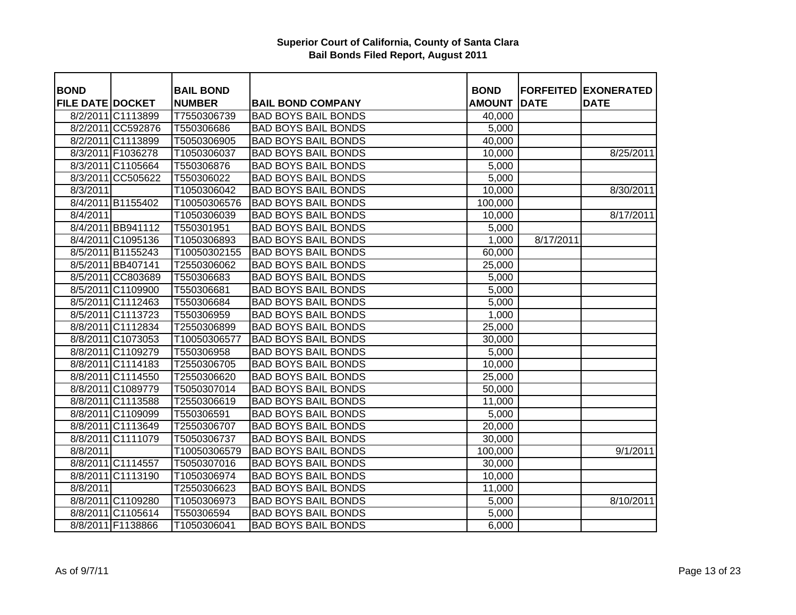| <b>BOND</b>             |                   | <b>BAIL BOND</b> |                            | <b>BOND</b>   |             | <b>FORFEITED EXONERATED</b> |
|-------------------------|-------------------|------------------|----------------------------|---------------|-------------|-----------------------------|
| <b>FILE DATE DOCKET</b> |                   | <b>NUMBER</b>    | <b>BAIL BOND COMPANY</b>   | <b>AMOUNT</b> | <b>DATE</b> | <b>DATE</b>                 |
|                         | 8/2/2011 C1113899 | T7550306739      | <b>BAD BOYS BAIL BONDS</b> | 40,000        |             |                             |
|                         | 8/2/2011 CC592876 | T550306686       | <b>BAD BOYS BAIL BONDS</b> | 5,000         |             |                             |
|                         | 8/2/2011 C1113899 | T5050306905      | <b>BAD BOYS BAIL BONDS</b> | 40,000        |             |                             |
|                         | 8/3/2011 F1036278 | T1050306037      | <b>BAD BOYS BAIL BONDS</b> | 10,000        |             | 8/25/2011                   |
|                         | 8/3/2011 C1105664 | T550306876       | <b>BAD BOYS BAIL BONDS</b> | 5,000         |             |                             |
|                         | 8/3/2011 CC505622 | T550306022       | <b>BAD BOYS BAIL BONDS</b> | 5,000         |             |                             |
| 8/3/2011                |                   | T1050306042      | <b>BAD BOYS BAIL BONDS</b> | 10,000        |             | 8/30/2011                   |
|                         | 8/4/2011 B1155402 | T10050306576     | <b>BAD BOYS BAIL BONDS</b> | 100,000       |             |                             |
| 8/4/2011                |                   | T1050306039      | <b>BAD BOYS BAIL BONDS</b> | 10,000        |             | 8/17/2011                   |
|                         | 8/4/2011 BB941112 | T550301951       | <b>BAD BOYS BAIL BONDS</b> | 5,000         |             |                             |
|                         | 8/4/2011 C1095136 | T1050306893      | <b>BAD BOYS BAIL BONDS</b> | 1,000         | 8/17/2011   |                             |
|                         | 8/5/2011 B1155243 | T10050302155     | <b>BAD BOYS BAIL BONDS</b> | 60,000        |             |                             |
|                         | 8/5/2011 BB407141 | T2550306062      | <b>BAD BOYS BAIL BONDS</b> | 25,000        |             |                             |
|                         | 8/5/2011 CC803689 | T550306683       | <b>BAD BOYS BAIL BONDS</b> | 5,000         |             |                             |
|                         | 8/5/2011 C1109900 | T550306681       | <b>BAD BOYS BAIL BONDS</b> | 5,000         |             |                             |
|                         | 8/5/2011 C1112463 | T550306684       | <b>BAD BOYS BAIL BONDS</b> | 5,000         |             |                             |
|                         | 8/5/2011 C1113723 | T550306959       | <b>BAD BOYS BAIL BONDS</b> | 1,000         |             |                             |
|                         | 8/8/2011 C1112834 | T2550306899      | <b>BAD BOYS BAIL BONDS</b> | 25,000        |             |                             |
|                         | 8/8/2011 C1073053 | T10050306577     | <b>BAD BOYS BAIL BONDS</b> | 30,000        |             |                             |
|                         | 8/8/2011 C1109279 | T550306958       | <b>BAD BOYS BAIL BONDS</b> | 5,000         |             |                             |
|                         | 8/8/2011 C1114183 | T2550306705      | <b>BAD BOYS BAIL BONDS</b> | 10,000        |             |                             |
|                         | 8/8/2011 C1114550 | T2550306620      | <b>BAD BOYS BAIL BONDS</b> | 25,000        |             |                             |
|                         | 8/8/2011 C1089779 | T5050307014      | <b>BAD BOYS BAIL BONDS</b> | 50,000        |             |                             |
|                         | 8/8/2011 C1113588 | T2550306619      | <b>BAD BOYS BAIL BONDS</b> | 11,000        |             |                             |
|                         | 8/8/2011 C1109099 | T550306591       | <b>BAD BOYS BAIL BONDS</b> | 5,000         |             |                             |
|                         | 8/8/2011 C1113649 | T2550306707      | <b>BAD BOYS BAIL BONDS</b> | 20,000        |             |                             |
|                         | 8/8/2011 C1111079 | T5050306737      | <b>BAD BOYS BAIL BONDS</b> | 30,000        |             |                             |
| 8/8/2011                |                   | T10050306579     | <b>BAD BOYS BAIL BONDS</b> | 100,000       |             | 9/1/2011                    |
|                         | 8/8/2011 C1114557 | T5050307016      | <b>BAD BOYS BAIL BONDS</b> | 30,000        |             |                             |
|                         | 8/8/2011 C1113190 | T1050306974      | <b>BAD BOYS BAIL BONDS</b> | 10,000        |             |                             |
| 8/8/2011                |                   | T2550306623      | <b>BAD BOYS BAIL BONDS</b> | 11,000        |             |                             |
|                         | 8/8/2011 C1109280 | T1050306973      | <b>BAD BOYS BAIL BONDS</b> | 5,000         |             | 8/10/2011                   |
|                         | 8/8/2011 C1105614 | T550306594       | <b>BAD BOYS BAIL BONDS</b> | 5,000         |             |                             |
|                         | 8/8/2011 F1138866 | T1050306041      | <b>BAD BOYS BAIL BONDS</b> | 6,000         |             |                             |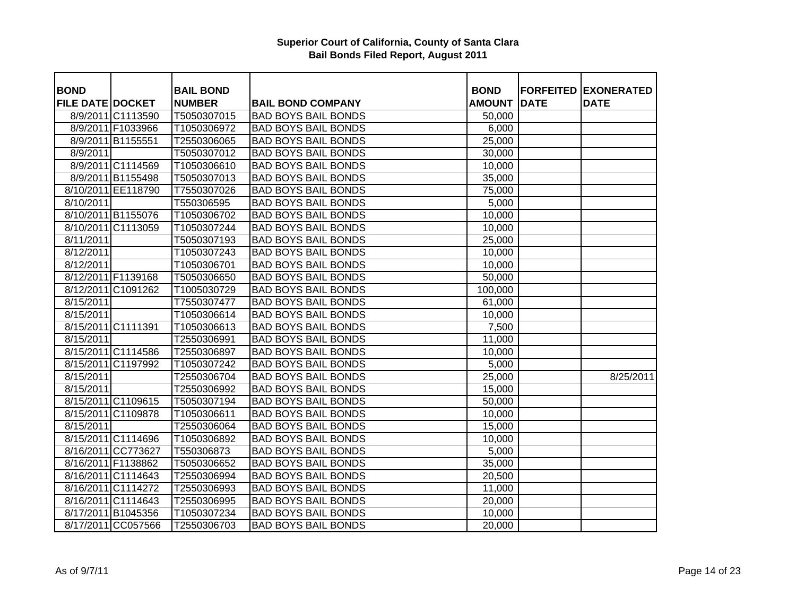| <b>BOND</b>             |                    | <b>BAIL BOND</b> |                            | <b>BOND</b>   |             | <b>FORFEITED EXONERATED</b> |
|-------------------------|--------------------|------------------|----------------------------|---------------|-------------|-----------------------------|
| <b>FILE DATE DOCKET</b> |                    | <b>NUMBER</b>    | <b>BAIL BOND COMPANY</b>   | <b>AMOUNT</b> | <b>DATE</b> | <b>DATE</b>                 |
|                         | 8/9/2011 C1113590  | T5050307015      | <b>BAD BOYS BAIL BONDS</b> | 50,000        |             |                             |
|                         | 8/9/2011 F1033966  | T1050306972      | <b>BAD BOYS BAIL BONDS</b> | 6,000         |             |                             |
|                         | 8/9/2011 B1155551  | T2550306065      | <b>BAD BOYS BAIL BONDS</b> | 25,000        |             |                             |
| 8/9/2011                |                    | T5050307012      | <b>BAD BOYS BAIL BONDS</b> | 30,000        |             |                             |
|                         | 8/9/2011 C1114569  | T1050306610      | <b>BAD BOYS BAIL BONDS</b> | 10,000        |             |                             |
|                         | 8/9/2011 B1155498  | T5050307013      | <b>BAD BOYS BAIL BONDS</b> | 35,000        |             |                             |
|                         | 8/10/2011 EE118790 | T7550307026      | <b>BAD BOYS BAIL BONDS</b> | 75,000        |             |                             |
| 8/10/2011               |                    | T550306595       | <b>BAD BOYS BAIL BONDS</b> | 5,000         |             |                             |
|                         | 8/10/2011 B1155076 | T1050306702      | <b>BAD BOYS BAIL BONDS</b> | 10,000        |             |                             |
|                         | 8/10/2011 C1113059 | T1050307244      | <b>BAD BOYS BAIL BONDS</b> | 10,000        |             |                             |
| 8/11/2011               |                    | T5050307193      | <b>BAD BOYS BAIL BONDS</b> | 25,000        |             |                             |
| 8/12/2011               |                    | T1050307243      | <b>BAD BOYS BAIL BONDS</b> | 10,000        |             |                             |
| 8/12/2011               |                    | T1050306701      | <b>BAD BOYS BAIL BONDS</b> | 10,000        |             |                             |
|                         | 8/12/2011 F1139168 | T5050306650      | <b>BAD BOYS BAIL BONDS</b> | 50,000        |             |                             |
|                         | 8/12/2011 C1091262 | T1005030729      | <b>BAD BOYS BAIL BONDS</b> | 100,000       |             |                             |
| $\sqrt{8}/15/2011$      |                    | T7550307477      | <b>BAD BOYS BAIL BONDS</b> | 61,000        |             |                             |
| 8/15/2011               |                    | T1050306614      | <b>BAD BOYS BAIL BONDS</b> | 10,000        |             |                             |
|                         | 8/15/2011 C1111391 | T1050306613      | <b>BAD BOYS BAIL BONDS</b> | 7,500         |             |                             |
| 8/15/2011               |                    | T2550306991      | <b>BAD BOYS BAIL BONDS</b> | 11,000        |             |                             |
|                         | 8/15/2011 C1114586 | T2550306897      | <b>BAD BOYS BAIL BONDS</b> | 10,000        |             |                             |
|                         | 8/15/2011 C1197992 | T1050307242      | <b>BAD BOYS BAIL BONDS</b> | 5,000         |             |                             |
| 8/15/2011               |                    | T2550306704      | <b>BAD BOYS BAIL BONDS</b> | 25,000        |             | 8/25/2011                   |
| 8/15/2011               |                    | T2550306992      | <b>BAD BOYS BAIL BONDS</b> | 15,000        |             |                             |
|                         | 8/15/2011 C1109615 | T5050307194      | <b>BAD BOYS BAIL BONDS</b> | 50,000        |             |                             |
|                         | 8/15/2011 C1109878 | T1050306611      | <b>BAD BOYS BAIL BONDS</b> | 10,000        |             |                             |
| 8/15/2011               |                    | T2550306064      | <b>BAD BOYS BAIL BONDS</b> | 15,000        |             |                             |
|                         | 8/15/2011 C1114696 | T1050306892      | <b>BAD BOYS BAIL BONDS</b> | 10,000        |             |                             |
|                         | 8/16/2011 CC773627 | T550306873       | <b>BAD BOYS BAIL BONDS</b> | 5,000         |             |                             |
|                         | 8/16/2011 F1138862 | T5050306652      | <b>BAD BOYS BAIL BONDS</b> | 35,000        |             |                             |
|                         | 8/16/2011 C1114643 | T2550306994      | <b>BAD BOYS BAIL BONDS</b> | 20,500        |             |                             |
|                         | 8/16/2011 C1114272 | T2550306993      | <b>BAD BOYS BAIL BONDS</b> | 11,000        |             |                             |
|                         | 8/16/2011 C1114643 | T2550306995      | <b>BAD BOYS BAIL BONDS</b> | 20,000        |             |                             |
|                         | 8/17/2011 B1045356 | T1050307234      | <b>BAD BOYS BAIL BONDS</b> | 10,000        |             |                             |
|                         | 8/17/2011 CC057566 | T2550306703      | <b>BAD BOYS BAIL BONDS</b> | 20,000        |             |                             |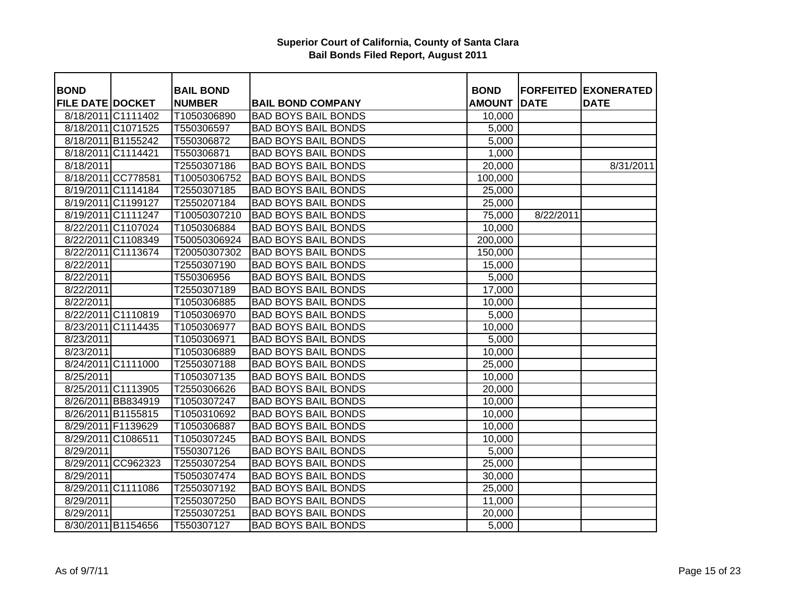| <b>BOND</b>             |                    | <b>BAIL BOND</b> |                            | <b>BOND</b>   |             | <b>FORFEITED EXONERATED</b> |
|-------------------------|--------------------|------------------|----------------------------|---------------|-------------|-----------------------------|
| <b>FILE DATE DOCKET</b> |                    | <b>NUMBER</b>    | <b>BAIL BOND COMPANY</b>   | <b>AMOUNT</b> | <b>DATE</b> | <b>DATE</b>                 |
|                         | 8/18/2011 C1111402 | T1050306890      | <b>BAD BOYS BAIL BONDS</b> | 10,000        |             |                             |
|                         | 8/18/2011 C1071525 | T550306597       | <b>BAD BOYS BAIL BONDS</b> | 5,000         |             |                             |
|                         | 8/18/2011 B1155242 | T550306872       | <b>BAD BOYS BAIL BONDS</b> | 5,000         |             |                             |
| 8/18/2011 C1114421      |                    | T550306871       | <b>BAD BOYS BAIL BONDS</b> | 1,000         |             |                             |
| 8/18/2011               |                    | T2550307186      | <b>BAD BOYS BAIL BONDS</b> | 20,000        |             | 8/31/2011                   |
|                         | 8/18/2011 CC778581 | T10050306752     | <b>BAD BOYS BAIL BONDS</b> | 100,000       |             |                             |
|                         | 8/19/2011 C1114184 | T2550307185      | <b>BAD BOYS BAIL BONDS</b> | 25,000        |             |                             |
|                         | 8/19/2011 C1199127 | T2550207184      | <b>BAD BOYS BAIL BONDS</b> | 25,000        |             |                             |
|                         | 8/19/2011 C1111247 | T10050307210     | <b>BAD BOYS BAIL BONDS</b> | 75,000        | 8/22/2011   |                             |
|                         | 8/22/2011 C1107024 | T1050306884      | <b>BAD BOYS BAIL BONDS</b> | 10,000        |             |                             |
|                         | 8/22/2011 C1108349 | T50050306924     | <b>BAD BOYS BAIL BONDS</b> | 200,000       |             |                             |
|                         | 8/22/2011 C1113674 | T20050307302     | <b>BAD BOYS BAIL BONDS</b> | 150,000       |             |                             |
| 8/22/2011               |                    | T2550307190      | <b>BAD BOYS BAIL BONDS</b> | 15,000        |             |                             |
| 8/22/2011               |                    | T550306956       | <b>BAD BOYS BAIL BONDS</b> | 5,000         |             |                             |
| 8/22/2011               |                    | T2550307189      | <b>BAD BOYS BAIL BONDS</b> | 17,000        |             |                             |
| 8/22/2011               |                    | T1050306885      | <b>BAD BOYS BAIL BONDS</b> | 10,000        |             |                             |
|                         | 8/22/2011 C1110819 | T1050306970      | <b>BAD BOYS BAIL BONDS</b> | 5,000         |             |                             |
|                         | 8/23/2011 C1114435 | T1050306977      | <b>BAD BOYS BAIL BONDS</b> | 10,000        |             |                             |
| 8/23/2011               |                    | T1050306971      | <b>BAD BOYS BAIL BONDS</b> | 5,000         |             |                             |
| 8/23/2011               |                    | T1050306889      | <b>BAD BOYS BAIL BONDS</b> | 10,000        |             |                             |
|                         | 8/24/2011 C1111000 | T2550307188      | <b>BAD BOYS BAIL BONDS</b> | 25,000        |             |                             |
| 8/25/2011               |                    | T1050307135      | <b>BAD BOYS BAIL BONDS</b> | 10,000        |             |                             |
|                         | 8/25/2011 C1113905 | T2550306626      | <b>BAD BOYS BAIL BONDS</b> | 20,000        |             |                             |
|                         | 8/26/2011 BB834919 | T1050307247      | <b>BAD BOYS BAIL BONDS</b> | 10,000        |             |                             |
|                         | 8/26/2011 B1155815 | T1050310692      | <b>BAD BOYS BAIL BONDS</b> | 10,000        |             |                             |
|                         | 8/29/2011 F1139629 | T1050306887      | <b>BAD BOYS BAIL BONDS</b> | 10,000        |             |                             |
|                         | 8/29/2011 C1086511 | T1050307245      | <b>BAD BOYS BAIL BONDS</b> | 10,000        |             |                             |
| 8/29/2011               |                    | T550307126       | <b>BAD BOYS BAIL BONDS</b> | 5,000         |             |                             |
|                         | 8/29/2011 CC962323 | T2550307254      | <b>BAD BOYS BAIL BONDS</b> | 25,000        |             |                             |
| 8/29/2011               |                    | T5050307474      | <b>BAD BOYS BAIL BONDS</b> | 30,000        |             |                             |
|                         | 8/29/2011 C1111086 | T2550307192      | <b>BAD BOYS BAIL BONDS</b> | 25,000        |             |                             |
| 8/29/2011               |                    | T2550307250      | <b>BAD BOYS BAIL BONDS</b> | 11,000        |             |                             |
| 8/29/2011               |                    | T2550307251      | <b>BAD BOYS BAIL BONDS</b> | 20,000        |             |                             |
|                         | 8/30/2011 B1154656 | T550307127       | <b>BAD BOYS BAIL BONDS</b> | 5,000         |             |                             |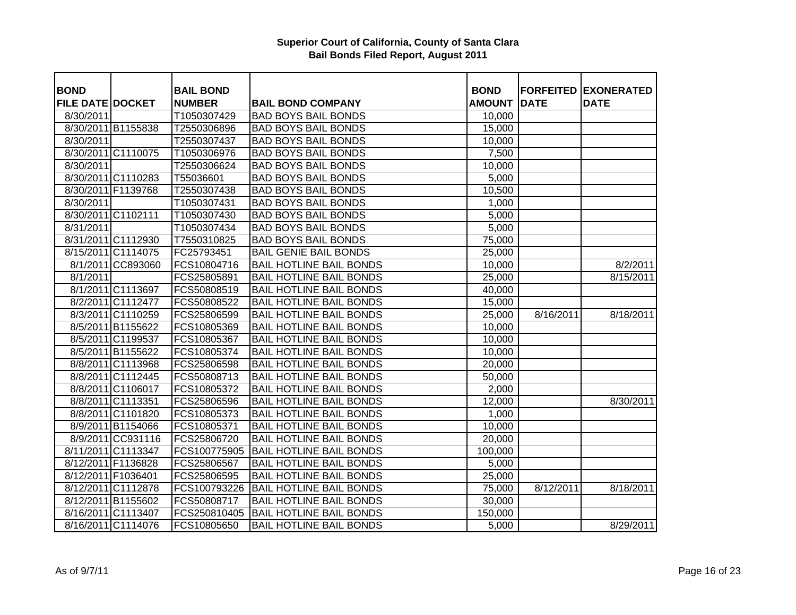| <b>BOND</b>             |                    | <b>BAIL BOND</b> |                                | <b>BOND</b>   | <b>FORFEITED</b> | <b>EXONERATED</b> |
|-------------------------|--------------------|------------------|--------------------------------|---------------|------------------|-------------------|
| <b>FILE DATE DOCKET</b> |                    | <b>NUMBER</b>    | <b>BAIL BOND COMPANY</b>       | <b>AMOUNT</b> | <b>DATE</b>      | <b>DATE</b>       |
| 8/30/2011               |                    | T1050307429      | <b>BAD BOYS BAIL BONDS</b>     | 10,000        |                  |                   |
|                         | 8/30/2011 B1155838 | T2550306896      | <b>BAD BOYS BAIL BONDS</b>     | 15,000        |                  |                   |
| 8/30/2011               |                    | T2550307437      | <b>BAD BOYS BAIL BONDS</b>     | 10,000        |                  |                   |
|                         | 8/30/2011 C1110075 | T1050306976      | <b>BAD BOYS BAIL BONDS</b>     | 7,500         |                  |                   |
| 8/30/2011               |                    | T2550306624      | <b>BAD BOYS BAIL BONDS</b>     | 10,000        |                  |                   |
|                         | 8/30/2011 C1110283 | T55036601        | <b>BAD BOYS BAIL BONDS</b>     | 5,000         |                  |                   |
|                         | 8/30/2011 F1139768 | T2550307438      | <b>BAD BOYS BAIL BONDS</b>     | 10,500        |                  |                   |
| 8/30/2011               |                    | T1050307431      | <b>BAD BOYS BAIL BONDS</b>     | 1,000         |                  |                   |
| 8/30/2011 C1102111      |                    | T1050307430      | <b>BAD BOYS BAIL BONDS</b>     | 5,000         |                  |                   |
| 8/31/2011               |                    | T1050307434      | <b>BAD BOYS BAIL BONDS</b>     | 5,000         |                  |                   |
|                         | 8/31/2011 C1112930 | T7550310825      | <b>BAD BOYS BAIL BONDS</b>     | 75,000        |                  |                   |
|                         | 8/15/2011 C1114075 | FC25793451       | <b>BAIL GENIE BAIL BONDS</b>   | 25,000        |                  |                   |
|                         | 8/1/2011 CC893060  | FCS10804716      | <b>BAIL HOTLINE BAIL BONDS</b> | 10,000        |                  | 8/2/2011          |
| 8/1/2011                |                    | FCS25805891      | <b>BAIL HOTLINE BAIL BONDS</b> | 25,000        |                  | 8/15/2011         |
|                         | 8/1/2011 C1113697  | FCS50808519      | <b>BAIL HOTLINE BAIL BONDS</b> | 40,000        |                  |                   |
|                         | 8/2/2011 C1112477  | FCS50808522      | <b>BAIL HOTLINE BAIL BONDS</b> | 15,000        |                  |                   |
|                         | 8/3/2011 C1110259  | FCS25806599      | <b>BAIL HOTLINE BAIL BONDS</b> | 25,000        | 8/16/2011        | 8/18/2011         |
|                         | 8/5/2011 B1155622  | FCS10805369      | <b>BAIL HOTLINE BAIL BONDS</b> | 10,000        |                  |                   |
|                         | 8/5/2011 C1199537  | FCS10805367      | <b>BAIL HOTLINE BAIL BONDS</b> | 10,000        |                  |                   |
|                         | 8/5/2011 B1155622  | FCS10805374      | <b>BAIL HOTLINE BAIL BONDS</b> | 10,000        |                  |                   |
|                         | 8/8/2011 C1113968  | FCS25806598      | <b>BAIL HOTLINE BAIL BONDS</b> | 20,000        |                  |                   |
|                         | 8/8/2011 C1112445  | FCS50808713      | <b>BAIL HOTLINE BAIL BONDS</b> | 50,000        |                  |                   |
|                         | 8/8/2011 C1106017  | FCS10805372      | <b>BAIL HOTLINE BAIL BONDS</b> | 2,000         |                  |                   |
|                         | 8/8/2011 C1113351  | FCS25806596      | <b>BAIL HOTLINE BAIL BONDS</b> | 12,000        |                  | 8/30/2011         |
|                         | 8/8/2011 C1101820  | FCS10805373      | <b>BAIL HOTLINE BAIL BONDS</b> | 1,000         |                  |                   |
|                         | 8/9/2011 B1154066  | FCS10805371      | <b>BAIL HOTLINE BAIL BONDS</b> | 10,000        |                  |                   |
|                         | 8/9/2011 CC931116  | FCS25806720      | <b>BAIL HOTLINE BAIL BONDS</b> | 20,000        |                  |                   |
|                         | 8/11/2011 C1113347 | FCS100775905     | <b>BAIL HOTLINE BAIL BONDS</b> | 100,000       |                  |                   |
|                         | 8/12/2011 F1136828 | FCS25806567      | <b>BAIL HOTLINE BAIL BONDS</b> | 5,000         |                  |                   |
| 8/12/2011 F1036401      |                    | FCS25806595      | <b>BAIL HOTLINE BAIL BONDS</b> | 25,000        |                  |                   |
|                         | 8/12/2011 C1112878 | FCS100793226     | <b>BAIL HOTLINE BAIL BONDS</b> | 75,000        | 8/12/2011        | 8/18/2011         |
|                         | 8/12/2011 B1155602 | FCS50808717      | <b>BAIL HOTLINE BAIL BONDS</b> | 30,000        |                  |                   |
|                         | 8/16/2011 C1113407 | FCS250810405     | <b>BAIL HOTLINE BAIL BONDS</b> | 150,000       |                  |                   |
|                         | 8/16/2011 C1114076 | FCS10805650      | <b>BAIL HOTLINE BAIL BONDS</b> | 5,000         |                  | 8/29/2011         |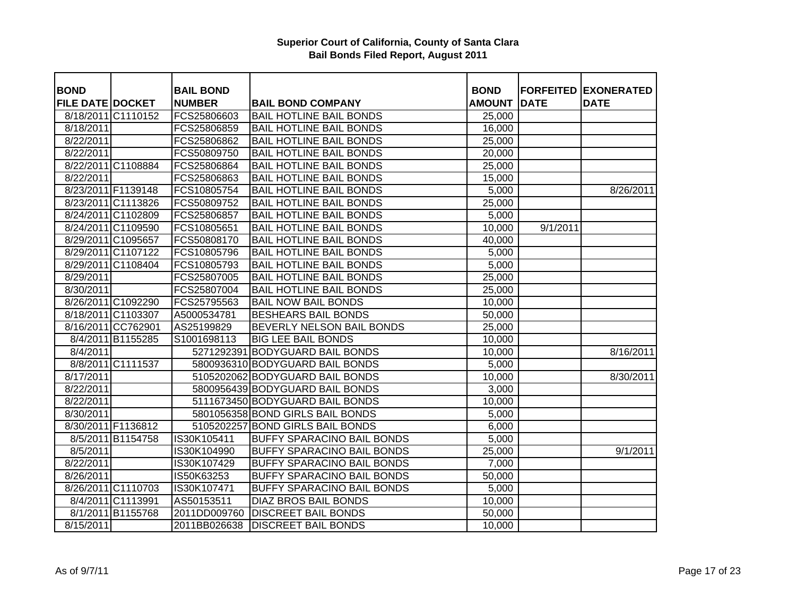| <b>BOND</b>             |                    | <b>BAIL BOND</b> |                                   | <b>BOND</b>   |             | <b>FORFEITED EXONERATED</b> |
|-------------------------|--------------------|------------------|-----------------------------------|---------------|-------------|-----------------------------|
| <b>FILE DATE DOCKET</b> |                    | <b>NUMBER</b>    | <b>BAIL BOND COMPANY</b>          | <b>AMOUNT</b> | <b>DATE</b> | <b>DATE</b>                 |
|                         | 8/18/2011 C1110152 | FCS25806603      | <b>BAIL HOTLINE BAIL BONDS</b>    | 25,000        |             |                             |
| 8/18/2011               |                    | FCS25806859      | <b>BAIL HOTLINE BAIL BONDS</b>    | 16,000        |             |                             |
| 8/22/2011               |                    | FCS25806862      | <b>BAIL HOTLINE BAIL BONDS</b>    | 25,000        |             |                             |
| 8/22/2011               |                    | FCS50809750      | <b>BAIL HOTLINE BAIL BONDS</b>    | 20,000        |             |                             |
|                         | 8/22/2011 C1108884 | FCS25806864      | <b>BAIL HOTLINE BAIL BONDS</b>    | 25,000        |             |                             |
| 8/22/2011               |                    | FCS25806863      | <b>BAIL HOTLINE BAIL BONDS</b>    | 15,000        |             |                             |
|                         | 8/23/2011 F1139148 | FCS10805754      | <b>BAIL HOTLINE BAIL BONDS</b>    | 5,000         |             | 8/26/2011                   |
|                         | 8/23/2011 C1113826 | FCS50809752      | <b>BAIL HOTLINE BAIL BONDS</b>    | 25,000        |             |                             |
|                         | 8/24/2011 C1102809 | FCS25806857      | <b>BAIL HOTLINE BAIL BONDS</b>    | 5,000         |             |                             |
|                         | 8/24/2011 C1109590 | FCS10805651      | <b>BAIL HOTLINE BAIL BONDS</b>    | 10,000        | 9/1/2011    |                             |
|                         | 8/29/2011 C1095657 | FCS50808170      | <b>BAIL HOTLINE BAIL BONDS</b>    | 40,000        |             |                             |
|                         | 8/29/2011 C1107122 | FCS10805796      | <b>BAIL HOTLINE BAIL BONDS</b>    | 5,000         |             |                             |
|                         | 8/29/2011 C1108404 | FCS10805793      | <b>BAIL HOTLINE BAIL BONDS</b>    | 5,000         |             |                             |
| 8/29/2011               |                    | FCS25807005      | <b>BAIL HOTLINE BAIL BONDS</b>    | 25,000        |             |                             |
| 8/30/2011               |                    | FCS25807004      | <b>BAIL HOTLINE BAIL BONDS</b>    | 25,000        |             |                             |
|                         | 8/26/2011 C1092290 | FCS25795563      | <b>BAIL NOW BAIL BONDS</b>        | 10,000        |             |                             |
|                         | 8/18/2011 C1103307 | A5000534781      | <b>BESHEARS BAIL BONDS</b>        | 50,000        |             |                             |
|                         | 8/16/2011 CC762901 | AS25199829       | BEVERLY NELSON BAIL BONDS         | 25,000        |             |                             |
|                         | 8/4/2011 B1155285  | S1001698113      | <b>BIG LEE BAIL BONDS</b>         | 10,000        |             |                             |
| 8/4/2011                |                    |                  | 5271292391 BODYGUARD BAIL BONDS   | 10,000        |             | 8/16/2011                   |
|                         | 8/8/2011 C1111537  |                  | 5800936310 BODYGUARD BAIL BONDS   | 5,000         |             |                             |
| 8/17/2011               |                    |                  | 5105202062 BODYGUARD BAIL BONDS   | 10,000        |             | 8/30/2011                   |
| 8/22/2011               |                    |                  | 5800956439 BODYGUARD BAIL BONDS   | 3,000         |             |                             |
| 8/22/2011               |                    |                  | 5111673450 BODYGUARD BAIL BONDS   | 10,000        |             |                             |
| 8/30/2011               |                    |                  | 5801056358 BOND GIRLS BAIL BONDS  | 5,000         |             |                             |
|                         | 8/30/2011 F1136812 |                  | 5105202257 BOND GIRLS BAIL BONDS  | 6,000         |             |                             |
|                         | 8/5/2011 B1154758  | IS30K105411      | <b>BUFFY SPARACINO BAIL BONDS</b> | 5,000         |             |                             |
| 8/5/2011                |                    | IS30K104990      | <b>BUFFY SPARACINO BAIL BONDS</b> | 25,000        |             | 9/1/2011                    |
| 8/22/2011               |                    | IS30K107429      | <b>BUFFY SPARACINO BAIL BONDS</b> | 7,000         |             |                             |
| 8/26/2011               |                    | IS50K63253       | <b>BUFFY SPARACINO BAIL BONDS</b> | 50,000        |             |                             |
|                         | 8/26/2011 C1110703 | IS30K107471      | <b>BUFFY SPARACINO BAIL BONDS</b> | 5,000         |             |                             |
|                         | 8/4/2011 C1113991  | AS50153511       | <b>DIAZ BROS BAIL BONDS</b>       | 10,000        |             |                             |
|                         | 8/1/2011 B1155768  | 2011DD009760     | <b>DISCREET BAIL BONDS</b>        | 50,000        |             |                             |
| 8/15/2011               |                    | 2011BB026638     | <b>DISCREET BAIL BONDS</b>        | 10,000        |             |                             |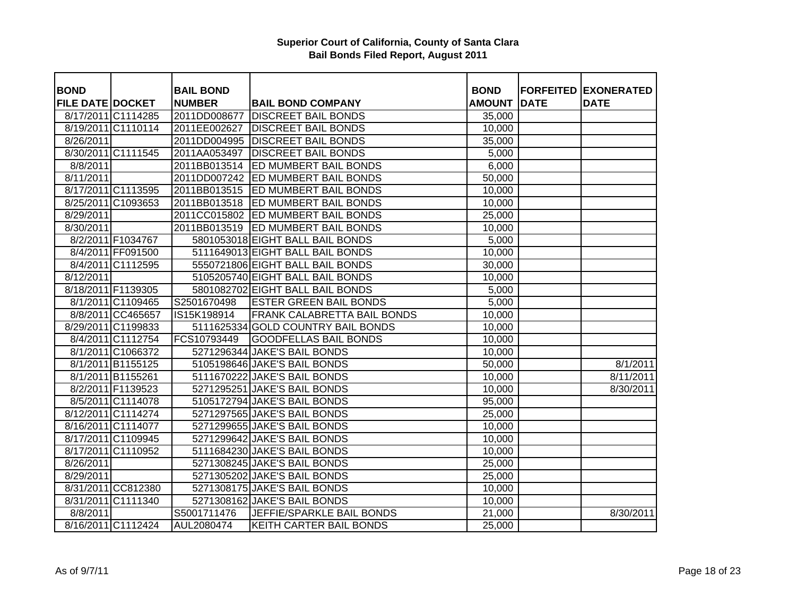| <b>BOND</b>             |                                        | <b>BAIL BOND</b> |                                                              | <b>BOND</b>   |             | <b>FORFEITED EXONERATED</b> |
|-------------------------|----------------------------------------|------------------|--------------------------------------------------------------|---------------|-------------|-----------------------------|
| <b>FILE DATE DOCKET</b> |                                        | <b>NUMBER</b>    | <b>BAIL BOND COMPANY</b>                                     | <b>AMOUNT</b> | <b>DATE</b> | <b>DATE</b>                 |
|                         | 8/17/2011 C1114285                     | 2011DD008677     | <b>DISCREET BAIL BONDS</b>                                   | 35,000        |             |                             |
|                         | 8/19/2011 C1110114                     | 2011EE002627     | <b>DISCREET BAIL BONDS</b>                                   | 10,000        |             |                             |
| $\frac{8}{26}$ /2011    |                                        |                  | 2011DD004995 DISCREET BAIL BONDS                             | 35,000        |             |                             |
|                         | 8/30/2011 C1111545                     |                  | 2011AA053497 DISCREET BAIL BONDS                             | 5,000         |             |                             |
| 8/8/2011                |                                        | 2011BB013514     | ED MUMBERT BAIL BONDS                                        | 6,000         |             |                             |
| 8/11/2011               |                                        |                  | 2011DD007242 ED MUMBERT BAIL BONDS                           | 50,000        |             |                             |
|                         | 8/17/2011 C1113595                     |                  | 2011BB013515  ED MUMBERT BAIL BONDS                          | 10,000        |             |                             |
|                         | 8/25/2011 C1093653                     |                  | 2011BB013518 ED MUMBERT BAIL BONDS                           | 10,000        |             |                             |
| 8/29/2011               |                                        |                  | 2011CC015802 ED MUMBERT BAIL BONDS                           | 25,000        |             |                             |
| 8/30/2011               |                                        |                  | 2011BB013519 ED MUMBERT BAIL BONDS                           | 10,000        |             |                             |
|                         | 8/2/2011 F1034767                      |                  | 5801053018 EIGHT BALL BAIL BONDS                             | 5,000         |             |                             |
|                         | 8/4/2011 FF091500                      |                  | 5111649013 EIGHT BALL BAIL BONDS                             | 10,000        |             |                             |
|                         | 8/4/2011 C1112595                      |                  | 5550721806 EIGHT BALL BAIL BONDS                             | 30,000        |             |                             |
| 8/12/2011               |                                        |                  | 5105205740 EIGHT BALL BAIL BONDS                             | 10,000        |             |                             |
|                         | 8/18/2011 F1139305                     |                  | 5801082702 EIGHT BALL BAIL BONDS                             | 5,000         |             |                             |
|                         | 8/1/2011 C1109465                      | S2501670498      | <b>ESTER GREEN BAIL BONDS</b>                                | 5,000         |             |                             |
|                         | 8/8/2011 CC465657                      | IS15K198914      | <b>FRANK CALABRETTA BAIL BONDS</b>                           | 10,000        |             |                             |
|                         | 8/29/2011 C1199833                     |                  | 5111625334 GOLD COUNTRY BAIL BONDS                           | 10,000        |             |                             |
|                         | 8/4/2011 C1112754                      | FCS10793449      | <b>GOODFELLAS BAIL BONDS</b>                                 | 10,000        |             |                             |
|                         | 8/1/2011 C1066372                      |                  | 5271296344 JAKE'S BAIL BONDS                                 | 10,000        |             |                             |
|                         |                                        |                  | 5105198646 JAKE'S BAIL BONDS                                 |               |             | 8/1/2011                    |
|                         | 8/1/2011 B1155125                      |                  |                                                              | 50,000        |             |                             |
|                         | 8/1/2011 B1155261<br>8/2/2011 F1139523 |                  | 5111670222 JAKE'S BAIL BONDS<br>5271295251 JAKE'S BAIL BONDS | 10,000        |             | 8/11/2011<br>8/30/2011      |
|                         | 8/5/2011 C1114078                      |                  | 5105172794 JAKE'S BAIL BONDS                                 | 10,000        |             |                             |
|                         | 8/12/2011 C1114274                     |                  | 5271297565 JAKE'S BAIL BONDS                                 | 95,000        |             |                             |
|                         | 8/16/2011 C1114077                     |                  | 5271299655 JAKE'S BAIL BONDS                                 | 25,000        |             |                             |
|                         | 8/17/2011 C1109945                     |                  | 5271299642 JAKE'S BAIL BONDS                                 | 10,000        |             |                             |
|                         |                                        |                  | 5111684230 JAKE'S BAIL BONDS                                 | 10,000        |             |                             |
|                         | 8/17/2011 C1110952                     |                  | 5271308245 JAKE'S BAIL BONDS                                 | 10,000        |             |                             |
| 8/26/2011               |                                        |                  |                                                              | 25,000        |             |                             |
| 8/29/2011               |                                        |                  | 5271305202 JAKE'S BAIL BONDS                                 | 25,000        |             |                             |
|                         | 8/31/2011 CC812380                     |                  | 5271308175 JAKE'S BAIL BONDS                                 | 10,000        |             |                             |
|                         | 8/31/2011 C1111340                     |                  | 5271308162 JAKE'S BAIL BONDS                                 | 10,000        |             |                             |
| 8/8/2011                |                                        | S5001711476      | JEFFIE/SPARKLE BAIL BONDS                                    | 21,000        |             | 8/30/2011                   |
|                         | 8/16/2011 C1112424                     | AUL2080474       | KEITH CARTER BAIL BONDS                                      | 25,000        |             |                             |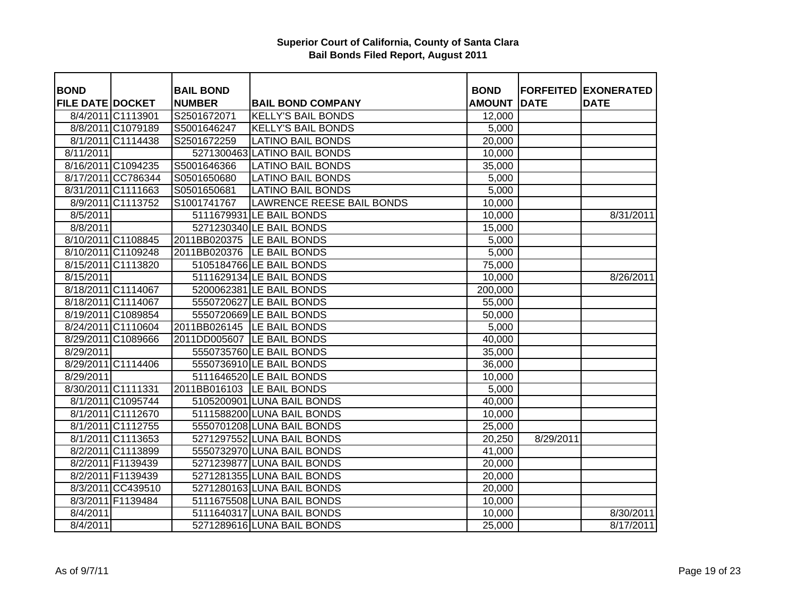| <b>BOND</b>             |                    | <b>BAIL BOND</b> |                                  | <b>BOND</b>   |             | <b>FORFEITED EXONERATED</b> |
|-------------------------|--------------------|------------------|----------------------------------|---------------|-------------|-----------------------------|
| <b>FILE DATE DOCKET</b> |                    | <b>NUMBER</b>    | <b>BAIL BOND COMPANY</b>         | <b>AMOUNT</b> | <b>DATE</b> | <b>DATE</b>                 |
|                         | 8/4/2011 C1113901  | S2501672071      | <b>KELLY'S BAIL BONDS</b>        | 12,000        |             |                             |
|                         | 8/8/2011 C1079189  | S5001646247      | <b>KELLY'S BAIL BONDS</b>        | 5,000         |             |                             |
|                         | 8/1/2011 C1114438  | S2501672259      | <b>LATINO BAIL BONDS</b>         | 20,000        |             |                             |
| 8/11/2011               |                    |                  | 5271300463 LATINO BAIL BONDS     | 10,000        |             |                             |
|                         | 8/16/2011 C1094235 | S5001646366      | <b>LATINO BAIL BONDS</b>         | 35,000        |             |                             |
|                         | 8/17/2011 CC786344 | S0501650680      | <b>LATINO BAIL BONDS</b>         | 5,000         |             |                             |
|                         | 8/31/2011 C1111663 | S0501650681      | <b>LATINO BAIL BONDS</b>         | 5,000         |             |                             |
|                         | 8/9/2011 C1113752  | S1001741767      | <b>LAWRENCE REESE BAIL BONDS</b> | 10,000        |             |                             |
| 8/5/2011                |                    |                  | 5111679931 LE BAIL BONDS         | 10,000        |             | 8/31/2011                   |
| 8/8/2011                |                    |                  | 5271230340 LE BAIL BONDS         | 15,000        |             |                             |
|                         | 8/10/2011 C1108845 |                  | 2011BB020375   LE BAIL BONDS     | 5,000         |             |                             |
|                         | 8/10/2011 C1109248 |                  | 2011BB020376   LE BAIL BONDS     | 5,000         |             |                             |
|                         | 8/15/2011 C1113820 |                  | 5105184766 LE BAIL BONDS         | 75,000        |             |                             |
| 8/15/2011               |                    |                  | 5111629134 LE BAIL BONDS         | 10,000        |             | 8/26/2011                   |
|                         | 8/18/2011 C1114067 |                  | 5200062381 LE BAIL BONDS         | 200,000       |             |                             |
|                         | 8/18/2011 C1114067 |                  | 5550720627 LE BAIL BONDS         | 55,000        |             |                             |
|                         | 8/19/2011 C1089854 |                  | 5550720669 LE BAIL BONDS         | 50,000        |             |                             |
|                         | 8/24/2011 C1110604 |                  | 2011BB026145   LE BAIL BONDS     | 5,000         |             |                             |
|                         | 8/29/2011 C1089666 |                  | 2011DD005607 LE BAIL BONDS       | 40,000        |             |                             |
| 8/29/2011               |                    |                  | 5550735760 LE BAIL BONDS         | 35,000        |             |                             |
|                         | 8/29/2011 C1114406 |                  | 5550736910 LE BAIL BONDS         | 36,000        |             |                             |
| 8/29/2011               |                    |                  | 5111646520 LE BAIL BONDS         | 10,000        |             |                             |
|                         | 8/30/2011 C1111331 |                  | 2011BB016103  LE BAIL BONDS      | 5,000         |             |                             |
|                         | 8/1/2011 C1095744  |                  | 5105200901 LUNA BAIL BONDS       | 40,000        |             |                             |
|                         | 8/1/2011 C1112670  |                  | 5111588200 LUNA BAIL BONDS       | 10,000        |             |                             |
|                         | 8/1/2011 C1112755  |                  | 5550701208 LUNA BAIL BONDS       | 25,000        |             |                             |
|                         | 8/1/2011 C1113653  |                  | 5271297552 LUNA BAIL BONDS       | 20,250        | 8/29/2011   |                             |
|                         | 8/2/2011 C1113899  |                  | 5550732970 LUNA BAIL BONDS       | 41,000        |             |                             |
|                         | 8/2/2011 F1139439  |                  | 5271239877 LUNA BAIL BONDS       | 20,000        |             |                             |
|                         | 8/2/2011 F1139439  |                  | 5271281355 LUNA BAIL BONDS       | 20,000        |             |                             |
|                         | 8/3/2011 CC439510  |                  | 5271280163 LUNA BAIL BONDS       | 20,000        |             |                             |
|                         | 8/3/2011 F1139484  |                  | 5111675508 LUNA BAIL BONDS       | 10,000        |             |                             |
| 8/4/2011                |                    |                  | 5111640317 LUNA BAIL BONDS       | 10,000        |             | 8/30/2011                   |
| 8/4/2011                |                    |                  | 5271289616 LUNA BAIL BONDS       | 25,000        |             | 8/17/2011                   |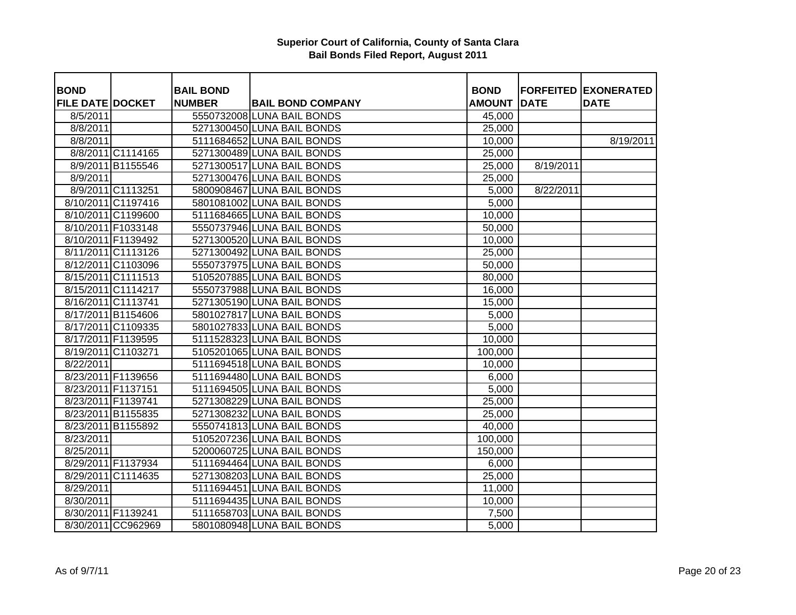| <b>BOND</b>             |                    | <b>BAIL BOND</b> |                            | <b>BOND</b>   |             | <b>FORFEITED EXONERATED</b> |
|-------------------------|--------------------|------------------|----------------------------|---------------|-------------|-----------------------------|
| <b>FILE DATE DOCKET</b> |                    | <b>NUMBER</b>    | <b>BAIL BOND COMPANY</b>   | <b>AMOUNT</b> | <b>DATE</b> | <b>DATE</b>                 |
| 8/5/2011                |                    |                  | 5550732008 LUNA BAIL BONDS | 45,000        |             |                             |
| 8/8/2011                |                    |                  | 5271300450 LUNA BAIL BONDS | 25,000        |             |                             |
| 8/8/2011                |                    |                  | 5111684652 LUNA BAIL BONDS | 10,000        |             | 8/19/2011                   |
|                         | 8/8/2011 C1114165  |                  | 5271300489 LUNA BAIL BONDS | 25,000        |             |                             |
|                         | 8/9/2011 B1155546  |                  | 5271300517 LUNA BAIL BONDS | 25,000        | 8/19/2011   |                             |
| 8/9/2011                |                    |                  | 5271300476 LUNA BAIL BONDS | 25,000        |             |                             |
|                         | 8/9/2011 C1113251  |                  | 5800908467 LUNA BAIL BONDS | 5,000         | 8/22/2011   |                             |
|                         | 8/10/2011 C1197416 |                  | 5801081002 LUNA BAIL BONDS | 5,000         |             |                             |
|                         | 8/10/2011 C1199600 |                  | 5111684665 LUNA BAIL BONDS | 10,000        |             |                             |
|                         | 8/10/2011 F1033148 |                  | 5550737946 LUNA BAIL BONDS | 50,000        |             |                             |
|                         | 8/10/2011 F1139492 |                  | 5271300520 LUNA BAIL BONDS | 10,000        |             |                             |
|                         | 8/11/2011 C1113126 |                  | 5271300492 LUNA BAIL BONDS | 25,000        |             |                             |
|                         | 8/12/2011 C1103096 |                  | 5550737975 LUNA BAIL BONDS | 50,000        |             |                             |
|                         | 8/15/2011 C1111513 |                  | 5105207885 LUNA BAIL BONDS | 80,000        |             |                             |
|                         | 8/15/2011 C1114217 |                  | 5550737988 LUNA BAIL BONDS | 16,000        |             |                             |
|                         | 8/16/2011 C1113741 |                  | 5271305190 LUNA BAIL BONDS | 15,000        |             |                             |
|                         | 8/17/2011 B1154606 |                  | 5801027817 LUNA BAIL BONDS | 5,000         |             |                             |
|                         | 8/17/2011 C1109335 |                  | 5801027833 LUNA BAIL BONDS | 5,000         |             |                             |
|                         | 8/17/2011 F1139595 |                  | 5111528323 LUNA BAIL BONDS | 10,000        |             |                             |
|                         | 8/19/2011 C1103271 |                  | 5105201065 LUNA BAIL BONDS | 100,000       |             |                             |
| 8/22/2011               |                    |                  | 5111694518 LUNA BAIL BONDS | 10,000        |             |                             |
|                         | 8/23/2011 F1139656 |                  | 5111694480 LUNA BAIL BONDS | 6,000         |             |                             |
|                         | 8/23/2011 F1137151 |                  | 5111694505 LUNA BAIL BONDS | 5,000         |             |                             |
|                         | 8/23/2011 F1139741 |                  | 5271308229 LUNA BAIL BONDS | 25,000        |             |                             |
|                         | 8/23/2011 B1155835 |                  | 5271308232 LUNA BAIL BONDS | 25,000        |             |                             |
|                         | 8/23/2011 B1155892 |                  | 5550741813 LUNA BAIL BONDS | 40,000        |             |                             |
| 8/23/2011               |                    |                  | 5105207236 LUNA BAIL BONDS | 100,000       |             |                             |
| 8/25/2011               |                    |                  | 5200060725 LUNA BAIL BONDS | 150,000       |             |                             |
|                         | 8/29/2011 F1137934 |                  | 5111694464 LUNA BAIL BONDS | 6,000         |             |                             |
|                         | 8/29/2011 C1114635 |                  | 5271308203 LUNA BAIL BONDS | 25,000        |             |                             |
| 8/29/2011               |                    |                  | 5111694451 LUNA BAIL BONDS | 11,000        |             |                             |
| 8/30/2011               |                    |                  | 5111694435 LUNA BAIL BONDS | 10,000        |             |                             |
|                         | 8/30/2011 F1139241 |                  | 5111658703 LUNA BAIL BONDS | 7,500         |             |                             |
|                         | 8/30/2011 CC962969 |                  | 5801080948 LUNA BAIL BONDS | 5,000         |             |                             |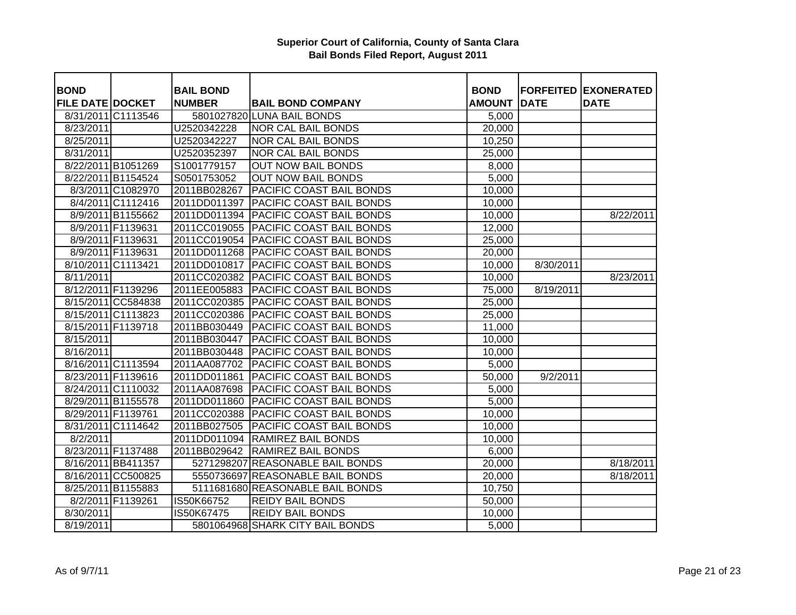| <b>BOND</b>             |                    | <b>BAIL BOND</b> |                                       | <b>BOND</b>   |             | <b>FORFEITED EXONERATED</b> |
|-------------------------|--------------------|------------------|---------------------------------------|---------------|-------------|-----------------------------|
| <b>FILE DATE DOCKET</b> |                    | <b>NUMBER</b>    | <b>BAIL BOND COMPANY</b>              | <b>AMOUNT</b> | <b>DATE</b> | <b>DATE</b>                 |
|                         | 8/31/2011 C1113546 |                  | 5801027820 LUNA BAIL BONDS            | 5,000         |             |                             |
| 8/23/2011               |                    | U2520342228      | <b>NOR CAL BAIL BONDS</b>             | 20,000        |             |                             |
| 8/25/2011               |                    | U2520342227      | <b>NOR CAL BAIL BONDS</b>             | 10,250        |             |                             |
| 8/31/2011               |                    | U2520352397      | <b>NOR CAL BAIL BONDS</b>             | 25,000        |             |                             |
|                         | 8/22/2011 B1051269 | S1001779157      | <b>OUT NOW BAIL BONDS</b>             | 8,000         |             |                             |
|                         | 8/22/2011 B1154524 | S0501753052      | <b>OUT NOW BAIL BONDS</b>             | 5,000         |             |                             |
|                         | 8/3/2011 C1082970  | 2011BB028267     | PACIFIC COAST BAIL BONDS              | 10,000        |             |                             |
|                         | 8/4/2011 C1112416  | 2011DD011397     | PACIFIC COAST BAIL BONDS              | 10,000        |             |                             |
|                         | 8/9/2011 B1155662  | 2011DD011394     | PACIFIC COAST BAIL BONDS              | 10,000        |             | 8/22/2011                   |
|                         | 8/9/2011 F1139631  | 2011CC019055     | PACIFIC COAST BAIL BONDS              | 12,000        |             |                             |
|                         | 8/9/2011 F1139631  | 2011CC019054     | <b>PACIFIC COAST BAIL BONDS</b>       | 25,000        |             |                             |
|                         | 8/9/2011 F1139631  | 2011DD011268     | <b>PACIFIC COAST BAIL BONDS</b>       | 20,000        |             |                             |
|                         | 8/10/2011 C1113421 | 2011DD010817     | <b>PACIFIC COAST BAIL BONDS</b>       | 10,000        | 8/30/2011   |                             |
| 8/11/2011               |                    | 2011CC020382     | PACIFIC COAST BAIL BONDS              | 10,000        |             | 8/23/2011                   |
|                         | 8/12/2011 F1139296 | 2011EE005883     | PACIFIC COAST BAIL BONDS              | 75,000        | 8/19/2011   |                             |
|                         | 8/15/2011 CC584838 | 2011CC020385     | <b>PACIFIC COAST BAIL BONDS</b>       | 25,000        |             |                             |
|                         | 8/15/2011 C1113823 | 2011CC020386     | <b>PACIFIC COAST BAIL BONDS</b>       | 25,000        |             |                             |
|                         | 8/15/2011 F1139718 | 2011BB030449     | PACIFIC COAST BAIL BONDS              | 11,000        |             |                             |
| 8/15/2011               |                    | 2011BB030447     | PACIFIC COAST BAIL BONDS              | 10,000        |             |                             |
| 8/16/2011               |                    | 2011BB030448     | PACIFIC COAST BAIL BONDS              | 10,000        |             |                             |
|                         | 8/16/2011 C1113594 | 2011AA087702     | PACIFIC COAST BAIL BONDS              | 5,000         |             |                             |
|                         | 8/23/2011 F1139616 | 2011DD011861     | <b>PACIFIC COAST BAIL BONDS</b>       | 50,000        | 9/2/2011    |                             |
|                         | 8/24/2011 C1110032 | 2011AA087698     | <b>PACIFIC COAST BAIL BONDS</b>       | 5,000         |             |                             |
|                         | 8/29/2011 B1155578 |                  | 2011DD011860 PACIFIC COAST BAIL BONDS | 5,000         |             |                             |
| 8/29/2011 F1139761      |                    |                  | 2011CC020388 PACIFIC COAST BAIL BONDS | 10,000        |             |                             |
|                         | 8/31/2011 C1114642 | 2011BB027505     | <b>PACIFIC COAST BAIL BONDS</b>       | 10,000        |             |                             |
| 8/2/2011                |                    |                  | 2011DD011094 RAMIREZ BAIL BONDS       | 10,000        |             |                             |
|                         | 8/23/2011 F1137488 | 2011BB029642     | <b>RAMIREZ BAIL BONDS</b>             | 6,000         |             |                             |
|                         | 8/16/2011 BB411357 |                  | 5271298207 REASONABLE BAIL BONDS      | 20,000        |             | 8/18/2011                   |
|                         | 8/16/2011 CC500825 |                  | 5550736697 REASONABLE BAIL BONDS      | 20,000        |             | 8/18/2011                   |
|                         | 8/25/2011 B1155883 |                  | 5111681680 REASONABLE BAIL BONDS      | 10,750        |             |                             |
|                         | 8/2/2011 F1139261  | IS50K66752       | <b>REIDY BAIL BONDS</b>               | 50,000        |             |                             |
| 8/30/2011               |                    | IS50K67475       | <b>REIDY BAIL BONDS</b>               | 10,000        |             |                             |
| 8/19/2011               |                    |                  | 5801064968 SHARK CITY BAIL BONDS      | 5,000         |             |                             |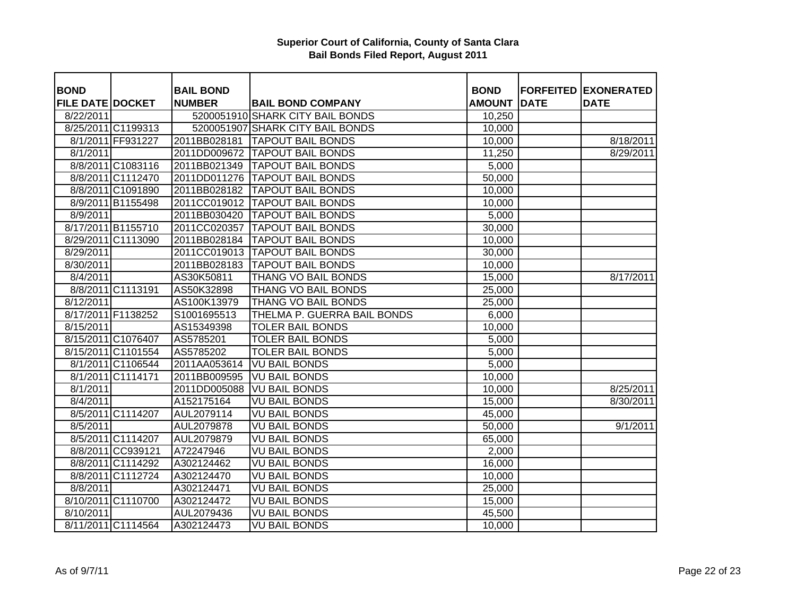| <b>BOND</b>             |                    | <b>BAIL BOND</b> |                                  | <b>BOND</b>   |             | <b>FORFEITED EXONERATED</b> |
|-------------------------|--------------------|------------------|----------------------------------|---------------|-------------|-----------------------------|
| <b>FILE DATE DOCKET</b> |                    | <b>NUMBER</b>    | <b>BAIL BOND COMPANY</b>         | <b>AMOUNT</b> | <b>DATE</b> | <b>DATE</b>                 |
| 8/22/2011               |                    |                  | 5200051910 SHARK CITY BAIL BONDS | 10,250        |             |                             |
|                         | 8/25/2011 C1199313 |                  | 5200051907 SHARK CITY BAIL BONDS | 10,000        |             |                             |
|                         | 8/1/2011 FF931227  | 2011BB028181     | <b>TAPOUT BAIL BONDS</b>         | 10,000        |             | 8/18/2011                   |
| 8/1/2011                |                    | 2011DD009672     | <b>TAPOUT BAIL BONDS</b>         | 11,250        |             | 8/29/2011                   |
|                         | 8/8/2011 C1083116  | 2011BB021349     | <b>TAPOUT BAIL BONDS</b>         | 5,000         |             |                             |
|                         | 8/8/2011 C1112470  | 2011DD011276     | <b>TAPOUT BAIL BONDS</b>         | 50,000        |             |                             |
|                         | 8/8/2011 C1091890  | 2011BB028182     | <b>TAPOUT BAIL BONDS</b>         | 10,000        |             |                             |
|                         | 8/9/2011 B1155498  | 2011CC019012     | <b>TAPOUT BAIL BONDS</b>         | 10,000        |             |                             |
| 8/9/2011                |                    | 2011BB030420     | <b>TAPOUT BAIL BONDS</b>         | 5,000         |             |                             |
|                         | 8/17/2011 B1155710 | 2011CC020357     | <b>TAPOUT BAIL BONDS</b>         | 30,000        |             |                             |
|                         | 8/29/2011 C1113090 | 2011BB028184     | <b>TAPOUT BAIL BONDS</b>         | 10,000        |             |                             |
| 8/29/2011               |                    | 2011CC019013     | <b>TAPOUT BAIL BONDS</b>         | 30,000        |             |                             |
| 8/30/2011               |                    | 2011BB028183     | <b>TAPOUT BAIL BONDS</b>         | 10,000        |             |                             |
| 8/4/2011                |                    | AS30K50811       | THANG VO BAIL BONDS              | 15,000        |             | 8/17/2011                   |
|                         | 8/8/2011 C1113191  | AS50K32898       | THANG VO BAIL BONDS              | 25,000        |             |                             |
| 8/12/2011               |                    | AS100K13979      | THANG VO BAIL BONDS              | 25,000        |             |                             |
|                         | 8/17/2011 F1138252 | S1001695513      | THELMA P. GUERRA BAIL BONDS      | 6,000         |             |                             |
| 8/15/2011               |                    | AS15349398       | <b>TOLER BAIL BONDS</b>          | 10,000        |             |                             |
|                         | 8/15/2011 C1076407 | AS5785201        | <b>TOLER BAIL BONDS</b>          | 5,000         |             |                             |
|                         | 8/15/2011 C1101554 | AS5785202        | <b>TOLER BAIL BONDS</b>          | 5,000         |             |                             |
|                         | 8/1/2011 C1106544  | 2011AA053614     | <b>VU BAIL BONDS</b>             | 5,000         |             |                             |
|                         | 8/1/2011 C1114171  | 2011BB009595     | <b>VU BAIL BONDS</b>             | 10,000        |             |                             |
| 8/1/2011                |                    | 2011DD005088     | <b>VU BAIL BONDS</b>             | 10,000        |             | 8/25/2011                   |
| 8/4/2011                |                    | A152175164       | <b>VU BAIL BONDS</b>             | 15,000        |             | 8/30/2011                   |
|                         | 8/5/2011 C1114207  | AUL2079114       | <b>VU BAIL BONDS</b>             | 45,000        |             |                             |
| 8/5/2011                |                    | AUL2079878       | <b>VU BAIL BONDS</b>             | 50,000        |             | 9/1/2011                    |
|                         | 8/5/2011 C1114207  | AUL2079879       | <b>VU BAIL BONDS</b>             | 65,000        |             |                             |
|                         | 8/8/2011 CC939121  | A72247946        | <b>VU BAIL BONDS</b>             | 2,000         |             |                             |
|                         | 8/8/2011 C1114292  | A302124462       | <b>VU BAIL BONDS</b>             | 16,000        |             |                             |
|                         | 8/8/2011 C1112724  | A302124470       | <b>VU BAIL BONDS</b>             | 10,000        |             |                             |
| 8/8/2011                |                    | A302124471       | <b>VU BAIL BONDS</b>             | 25,000        |             |                             |
|                         | 8/10/2011 C1110700 | A302124472       | <b>VU BAIL BONDS</b>             | 15,000        |             |                             |
| 8/10/2011               |                    | AUL2079436       | <b>VU BAIL BONDS</b>             | 45,500        |             |                             |
|                         | 8/11/2011 C1114564 | A302124473       | <b>VU BAIL BONDS</b>             | 10,000        |             |                             |